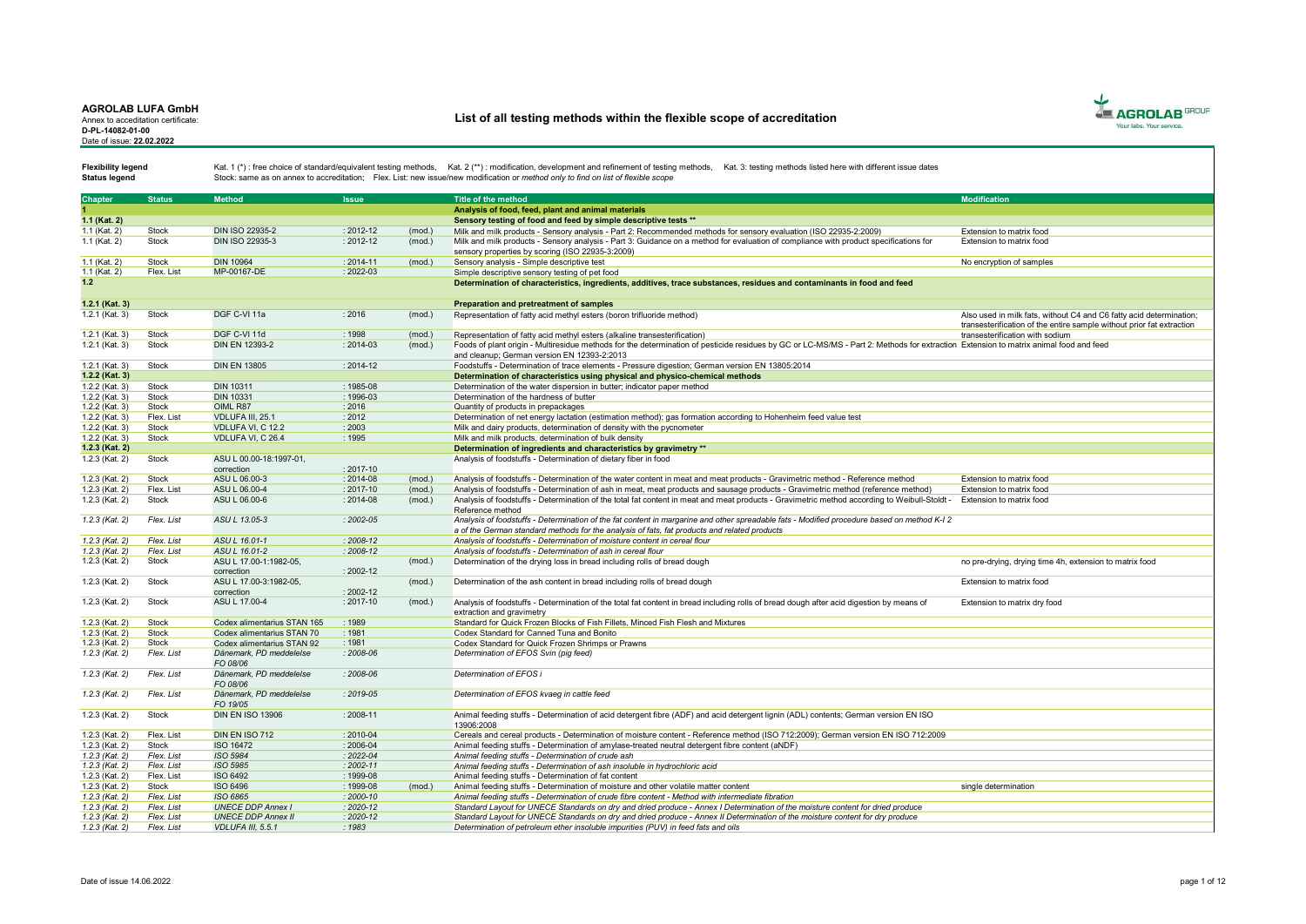Annex to acceditation certificate: D-PL-14082-01-00 Date of issue: 22.02.2022

# List of all testing methods within the flexible scope of accreditation



Status legend

| <b>Chapter</b>   | <b>Status</b> | <b>Method</b>               | <b>Issue</b>  |        | <b>Title of the method</b>                                                                                                                                                                                         | <b>Modification</b>                                                   |
|------------------|---------------|-----------------------------|---------------|--------|--------------------------------------------------------------------------------------------------------------------------------------------------------------------------------------------------------------------|-----------------------------------------------------------------------|
|                  |               |                             |               |        | Analysis of food, feed, plant and animal materials                                                                                                                                                                 |                                                                       |
| 1.1 (Kat. 2)     |               |                             |               |        | Sensory testing of food and feed by simple descriptive tests **                                                                                                                                                    |                                                                       |
|                  | Stock         | <b>DIN ISO 22935-2</b>      | $: 2012 - 12$ |        |                                                                                                                                                                                                                    |                                                                       |
| 1.1 (Kat. 2)     | Stock         | DIN ISO 22935-3             | $: 2012 - 12$ | (mod.) | Milk and milk products - Sensory analysis - Part 2: Recommended methods for sensory evaluation (ISO 22935-2:2009)                                                                                                  | Extension to matrix food                                              |
| 1.1 (Kat. 2)     |               |                             |               | (mod.) | Milk and milk products - Sensory analysis - Part 3: Guidance on a method for evaluation of compliance with product specifications for                                                                              | Extension to matrix food                                              |
|                  |               |                             |               |        | sensory properties by scoring (ISO 22935-3:2009)                                                                                                                                                                   |                                                                       |
| 1.1 (Kat. 2)     | Stock         | <b>DIN 10964</b>            | $: 2014 - 11$ | (mod.) | Sensory analysis - Simple descriptive test                                                                                                                                                                         | No encryption of samples                                              |
| 1.1 (Kat. 2)     | Flex. List    | MP-00167-DE                 | : 2022-03     |        | Simple descriptive sensory testing of pet food                                                                                                                                                                     |                                                                       |
| 1.2              |               |                             |               |        | Determination of characteristics, ingredients, additives, trace substances, residues and contaminants in food and feed                                                                                             |                                                                       |
|                  |               |                             |               |        |                                                                                                                                                                                                                    |                                                                       |
| 1.2.1 (Kat. 3)   |               |                             |               |        | Preparation and pretreatment of samples                                                                                                                                                                            |                                                                       |
| 1.2.1 (Kat. 3)   | Stock         | DGF C-VI 11a                | : 2016        | (mod.) | Representation of fatty acid methyl esters (boron trifluoride method)                                                                                                                                              | Also used in milk fats, without C4 and C6 fatty acid determination;   |
|                  |               |                             |               |        |                                                                                                                                                                                                                    | transesterification of the entire sample without prior fat extraction |
| 1.2.1 (Kat. 3)   | Stock         | DGF C-VI 11d                | 1998          | (mod.) | Representation of fatty acid methyl esters (alkaline transesterification)                                                                                                                                          | transesterification with sodium                                       |
| 1.2.1 (Kat. 3)   | Stock         | DIN EN 12393-2              | $: 2014 - 03$ | (mod.) | Foods of plant origin - Multiresidue methods for the determination of pesticide residues by GC or LC-MS/MS - Part 2: Methods for extraction Extension to matrix animal food and feed                               |                                                                       |
|                  |               |                             |               |        | and cleanup: German version EN 12393-2:2013                                                                                                                                                                        |                                                                       |
| 1.2.1 (Kat. 3)   | Stock         | <b>DIN EN 13805</b>         | $: 2014 - 12$ |        | Foodstuffs - Determination of trace elements - Pressure digestion: German version EN 13805:2014                                                                                                                    |                                                                       |
| 1.2.2 (Kat. 3)   |               |                             |               |        | Determination of characteristics using physical and physico-chemical methods                                                                                                                                       |                                                                       |
| 1.2.2 (Kat. 3)   | Stock         | <b>DIN 10311</b>            | $: 1985 - 08$ |        | Determination of the water dispersion in butter: indicator paper method                                                                                                                                            |                                                                       |
| 1.2.2 (Kat. 3)   | Stock         | DIN 10331                   | $: 1996 - 03$ |        | Determination of the hardness of butter                                                                                                                                                                            |                                                                       |
| 1.2.2 (Kat. 3)   | Stock         | OIML R87                    | 2016          |        | Quantity of products in prepackages                                                                                                                                                                                |                                                                       |
| $1.2.2$ (Kat. 3) | Flex. List    | VDLUFA III, 25.1            | : 2012        |        | Determination of net energy lactation (estimation method); gas formation according to Hohenheim feed value test                                                                                                    |                                                                       |
| 1.2.2 (Kat. 3)   | Stock         | VDLUFA VI. C 12.2           | 2003          |        | Milk and dairy products, determination of density with the pycnometer                                                                                                                                              |                                                                       |
| 1.2.2 (Kat. 3)   | Stock         | VDLUFA VI, C 26.4           | : 1995        |        | Milk and milk products, determination of bulk density                                                                                                                                                              |                                                                       |
| 1.2.3 (Kat. 2)   |               |                             |               |        | Determination of ingredients and characteristics by gravimetry **                                                                                                                                                  |                                                                       |
| 1.2.3 (Kat. 2)   | Stock         | ASU L 00.00-18:1997-01.     |               |        | Analysis of foodstuffs - Determination of dietary fiber in food                                                                                                                                                    |                                                                       |
|                  |               | correction                  | $: 2017 - 10$ |        |                                                                                                                                                                                                                    |                                                                       |
| 1.2.3 (Kat. 2)   | Stock         | ASU L 06.00-3               | $: 2014 - 08$ | (mod.) | Analysis of foodstuffs - Determination of the water content in meat and meat products - Gravimetric method - Reference method                                                                                      | Extension to matrix food                                              |
| 1.2.3 (Kat. 2)   | Flex. List    | ASU L 06.00-4               | 2017-10       | (mod.) | Analysis of foodstuffs - Determination of ash in meat, meat products and sausage products - Gravimetric method (reference method)                                                                                  | Extension to matrix food                                              |
| 1.2.3 (Kat. 2)   | Stock         | ASU L 06.00-6               | $: 2014 - 08$ | (mod.) | Analysis of foodstuffs - Determination of the total fat content in meat and meat products - Gravimetric method according to Weibull-Stoldt -                                                                       | Extension to matrix food                                              |
|                  |               |                             |               |        | Reference method                                                                                                                                                                                                   |                                                                       |
| $1.2.3$ (Kat. 2) | Flex. List    | ASU L 13.05-3               | $: 2002 - 05$ |        | Analysis of foodstuffs - Determination of the fat content in margarine and other spreadable fats - Modified procedure based on method K-I 2                                                                        |                                                                       |
|                  |               |                             |               |        | a of the German standard methods for the analysis of fats, fat products and related products                                                                                                                       |                                                                       |
| $1.2.3$ (Kat. 2) | Flex. List    | ASU L 16.01-1               | $2008 - 12$   |        | Analysis of foodstuffs - Determination of moisture content in cereal flour                                                                                                                                         |                                                                       |
| $1.2.3$ (Kat. 2) | Flex. List    | ASU L 16.01-2               | $: 2008 - 12$ |        | Analysis of foodstuffs - Determination of ash in cereal flour                                                                                                                                                      |                                                                       |
| 1.2.3 (Kat. 2)   | Stock         | ASU L 17.00-1:1982-05.      |               | (mod.) | Determination of the drying loss in bread including rolls of bread dough                                                                                                                                           | no pre-drying, drying time 4h, extension to matrix food               |
|                  |               | correction                  | $: 2002 - 12$ |        |                                                                                                                                                                                                                    |                                                                       |
| 1.2.3 (Kat. 2)   | Stock         | ASU L 17.00-3:1982-05.      |               | (mod.) | Determination of the ash content in bread including rolls of bread dough                                                                                                                                           | Extension to matrix food                                              |
|                  |               | correction                  | $: 2002 - 12$ |        |                                                                                                                                                                                                                    |                                                                       |
| 1.2.3 (Kat. 2)   | Stock         | ASU L 17.00-4               | $: 2017 - 10$ | (mod.) | Analysis of foodstuffs - Determination of the total fat content in bread including rolls of bread dough after acid digestion by means of                                                                           | Extension to matrix dry food                                          |
|                  |               |                             |               |        | extraction and gravimetry                                                                                                                                                                                          |                                                                       |
| 1.2.3 (Kat. 2)   | Stock         | Codex alimentarius STAN 165 | : 1989        |        | Standard for Quick Frozen Blocks of Fish Fillets, Minced Fish Flesh and Mixtures                                                                                                                                   |                                                                       |
| 1.2.3 (Kat. 2)   | Stock         | Codex alimentarius STAN 70  | : 1981        |        | Codex Standard for Canned Tuna and Bonito                                                                                                                                                                          |                                                                       |
| 1.2.3 (Kat. 2)   | Stock         | Codex alimentarius STAN 92  | : 1981        |        | Codex Standard for Quick Frozen Shrimps or Prawns                                                                                                                                                                  |                                                                       |
| 1.2.3 (Kat. 2)   | Flex. List    | Dänemark, PD meddelelse     | $: 2008 - 06$ |        | Determination of EFOS Svin (pig feed)                                                                                                                                                                              |                                                                       |
|                  |               | FO 08/06                    |               |        |                                                                                                                                                                                                                    |                                                                       |
| $1.2.3$ (Kat. 2) | Flex. List    | Dänemark, PD meddelelse     | $: 2008 - 06$ |        | Determination of EFOS i                                                                                                                                                                                            |                                                                       |
|                  |               | FO 08/06                    |               |        |                                                                                                                                                                                                                    |                                                                       |
| $1.2.3$ (Kat. 2) | Flex. List    | Dänemark, PD meddelelse     | $: 2019 - 05$ |        | Determination of EFOS kvaeg in cattle feed                                                                                                                                                                         |                                                                       |
|                  |               | FO 19/05                    |               |        |                                                                                                                                                                                                                    |                                                                       |
| 1.2.3 (Kat. 2)   | <b>Stock</b>  | <b>DIN EN ISO 13906</b>     | $: 2008 - 11$ |        | Animal feeding stuffs - Determination of acid detergent fibre (ADF) and acid detergent lignin (ADL) contents; German version EN ISO                                                                                |                                                                       |
|                  |               |                             |               |        | 13906:2008                                                                                                                                                                                                         |                                                                       |
| 1.2.3 (Kat. 2)   | Flex. List    | DIN EN ISO 712              | $: 2010 - 04$ |        | Cereals and cereal products - Determination of moisture content - Reference method (ISO 712:2009); German version EN ISO 712:2009                                                                                  |                                                                       |
| 1.2.3 (Kat. 2)   | Stock         | <b>ISO 16472</b>            | 2006-04       |        | Animal feeding stuffs - Determination of amylase-treated neutral detergent fibre content (aNDF)                                                                                                                    |                                                                       |
| 1.2.3 (Kat. 2)   | Flex. List    | ISO 5984                    | $: 2022 - 04$ |        | Animal feeding stuffs - Determination of crude ash                                                                                                                                                                 |                                                                       |
| $1.2.3$ (Kat. 2) | Flex. List    | ISO 5985                    | $2002 - 11$   |        | Animal feeding stuffs - Determination of ash insoluble in hydrochloric acid                                                                                                                                        |                                                                       |
| 1.2.3 (Kat. 2)   | Flex. List    | ISO 6492                    | : 1999-08     |        | Animal feeding stuffs - Determination of fat content                                                                                                                                                               |                                                                       |
| 1.2.3 (Kat. 2)   | Stock         | ISO 6496                    | : 1999-08     | (mod.) | Animal feeding stuffs - Determination of moisture and other volatile matter content                                                                                                                                | single determination                                                  |
| $1.2.3$ (Kat. 2) | Flex. List    | ISO 6865                    | $2000 - 10$   |        | Animal feeding stuffs - Determination of crude fibre content - Method with intermediate fibration                                                                                                                  |                                                                       |
| $1.2.3$ (Kat. 2) | Flex. List    | <b>UNECE DDP Annex I</b>    | $: 2020 - 12$ |        |                                                                                                                                                                                                                    |                                                                       |
| $1.2.3$ (Kat. 2) | Flex. List    | <b>UNECE DDP Annex II</b>   | $2020 - 12$   |        | Standard Layout for UNECE Standards on dry and dried produce - Annex I Determination of the moisture content for dried produce                                                                                     |                                                                       |
|                  | Flex. List    | VDLUFA III, 5.5.1           | 1983          |        | Standard Layout for UNECE Standards on dry and dried produce - Annex II Determination of the moisture content for dry produce<br>Determination of petroleum ether insoluble impurities (PUV) in feed fats and oils |                                                                       |
| $1.2.3$ (Kat. 2) |               |                             |               |        |                                                                                                                                                                                                                    |                                                                       |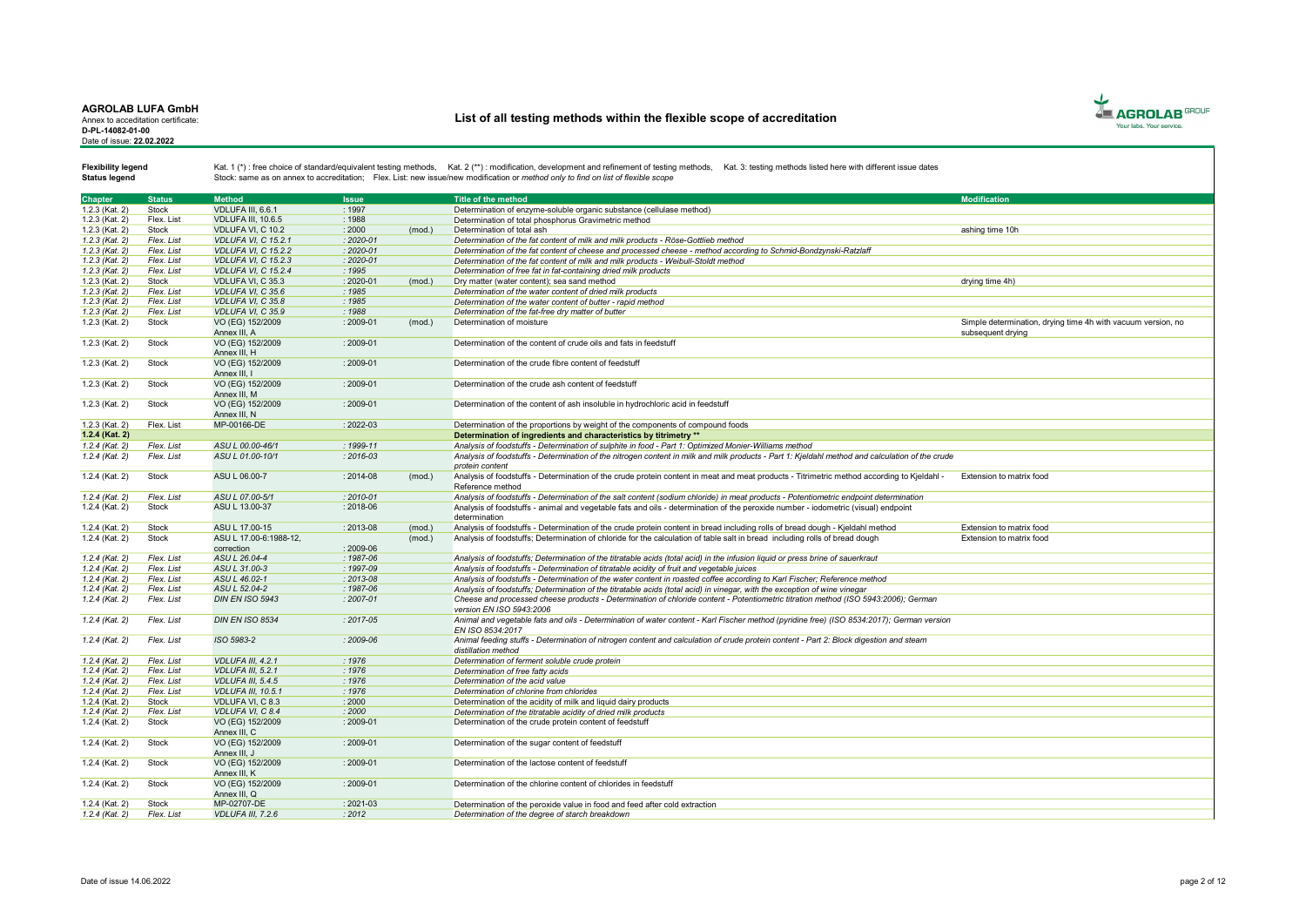#### AGROLAB LUFA GmbH Annex to acceditation certificate:

D-PL-14082-01-00 Date of issue: 22.02.2022

# List of all testing methods within the flexible scope of accreditation



Status legend

| Chapter          | <b>Status</b> | <b>Method</b>              | <b>Issue</b>  |        | Title of the method                                                                                                                             | <b>Modification</b>                                          |
|------------------|---------------|----------------------------|---------------|--------|-------------------------------------------------------------------------------------------------------------------------------------------------|--------------------------------------------------------------|
|                  |               |                            | : 1997        |        |                                                                                                                                                 |                                                              |
| 1.2.3 (Kat. 2)   | Stock         | VDLUFA III. 6.6.1          |               |        | Determination of enzyme-soluble organic substance (cellulase method)                                                                            |                                                              |
| 1.2.3 (Kat. 2)   | Flex, List    | <b>VDLUFA III. 10.6.5</b>  | : 1988        |        | Determination of total phosphorus Gravimetric method                                                                                            |                                                              |
| 1.2.3 (Kat. 2)   | Stock         | VDLUFA VI. C 10.2          | 2000          | (mod.) | Determination of total ash                                                                                                                      | ashing time 10h                                              |
| $1.2.3$ (Kat. 2) | Flex. List    | <b>VDLUFA VI, C 15.2.1</b> | $: 2020 - 01$ |        | Determination of the fat content of milk and milk products - Röse-Gottlieb method                                                               |                                                              |
| $1.2.3$ (Kat. 2) | Flex. List    | <b>VDLUFA VI, C 15.2.2</b> | $: 2020 - 01$ |        | Determination of the fat content of cheese and processed cheese - method according to Schmid-Bondzvnski-Ratzlaff                                |                                                              |
| 1.2.3 (Kat. 2)   | Flex. List    | VDLUFA VI. C 15.2.3        | $: 2020 - 01$ |        | Determination of the fat content of milk and milk products - Weibull-Stoldt method                                                              |                                                              |
| $1.2.3$ (Kat. 2) | Flex. List    | VDLUFA VI. C 15.2.4        | :1995         |        | Determination of free fat in fat-containing dried milk products                                                                                 |                                                              |
| 1.2.3 (Kat. 2)   | Stock         | VDLUFA VI, C 35.3          | 2020-01       | (mod.) | Dry matter (water content); sea sand method                                                                                                     | drying time 4h)                                              |
| $1.2.3$ (Kat. 2) | Flex. List    | VDLUFA VI, C 35.6          | :1985         |        | Determination of the water content of dried milk products                                                                                       |                                                              |
| 1.2.3 (Kat. 2)   | Flex. List    | VDLUFA VI. C 35.8          | : 1985        |        | Determination of the water content of butter - rapid method                                                                                     |                                                              |
|                  |               |                            |               |        |                                                                                                                                                 |                                                              |
| $1.2.3$ (Kat. 2) | Flex. List    | VDLUFA VI. C 35.9          | : 1988        |        | Determination of the fat-free dry matter of butter                                                                                              |                                                              |
| 1.2.3 (Kat. 2)   | <b>Stock</b>  | VO (EG) 152/2009           | : 2009-01     | (mod.) | Determination of moisture                                                                                                                       | Simple determination, drving time 4h with vacuum version, no |
|                  |               | Annex III. A               |               |        |                                                                                                                                                 | subsequent drving                                            |
| 1.2.3 (Kat. 2)   | <b>Stock</b>  | VO (EG) 152/2009           | $: 2009 - 01$ |        | Determination of the content of crude oils and fats in feedstuff                                                                                |                                                              |
|                  |               | Annex III. H               |               |        |                                                                                                                                                 |                                                              |
| 1.2.3 (Kat. 2)   | Stock         | VO (EG) 152/2009           | $: 2009 - 01$ |        | Determination of the crude fibre content of feedstuff                                                                                           |                                                              |
|                  |               | Annex III.                 |               |        |                                                                                                                                                 |                                                              |
| 1.2.3 (Kat. 2)   | <b>Stock</b>  | VO (EG) 152/2009           | $: 2009 - 01$ |        | Determination of the crude ash content of feedstuff                                                                                             |                                                              |
|                  |               | Annex III. M               |               |        |                                                                                                                                                 |                                                              |
| 1.2.3 (Kat. 2)   | Stock         | VO (EG) 152/2009           | : 2009-01     |        | Determination of the content of ash insoluble in hydrochloric acid in feedstuff                                                                 |                                                              |
|                  |               | Annex III, N               |               |        |                                                                                                                                                 |                                                              |
| 1.2.3 (Kat. 2)   | Flex. List    | MP-00166-DE                | $: 2022 - 03$ |        | Determination of the proportions by weight of the components of compound foods                                                                  |                                                              |
| 1.2.4 (Kat. 2)   |               |                            |               |        | Determination of ingredients and characteristics by titrimetry **                                                                               |                                                              |
|                  |               |                            | $: 1999 - 11$ |        |                                                                                                                                                 |                                                              |
| $1.2.4$ (Kat. 2) | Flex. List    | ASU L 00.00-46/1           |               |        | Analysis of foodstuffs - Determination of sulphite in food - Part 1: Optimized Monier-Williams method                                           |                                                              |
| $1.2.4$ (Kat. 2) | Flex. List    | ASU L 01.00-10/1           | $: 2016 - 03$ |        | Analysis of foodstuffs - Determination of the nitrogen content in milk and milk products - Part 1: Kjeldahl method and calculation of the crude |                                                              |
|                  |               |                            |               |        | protein content                                                                                                                                 |                                                              |
| 1.2.4 (Kat. 2)   | <b>Stock</b>  | ASU L 06.00-7              | : 2014-08     | (mod.) | Analysis of foodstuffs - Determination of the crude protein content in meat and meat products - Titrimetric method according to Kjeldahl -      | Extension to matrix food                                     |
|                  |               |                            |               |        | Reference method                                                                                                                                |                                                              |
| 1.2.4 (Kat. 2)   | Flex. List    | ASU L 07.00-5/1            | $: 2010 - 01$ |        | Analysis of foodstuffs - Determination of the salt content (sodium chloride) in meat products - Potentiometric endpoint determination           |                                                              |
| 1.2.4 (Kat. 2)   | <b>Stock</b>  | ASU L 13.00-37             | : 2018-06     |        | Analysis of foodstuffs - animal and vegetable fats and oils - determination of the peroxide number - iodometric (visual) endpoint               |                                                              |
|                  |               |                            |               |        | determination                                                                                                                                   |                                                              |
| 1.2.4 (Kat. 2)   | <b>Stock</b>  | ASU L 17.00-15             | $: 2013 - 08$ | (mod.) | Analysis of foodstuffs - Determination of the crude protein content in bread including rolls of bread dough - Kjeldahl method                   | Extension to matrix food                                     |
| 1.2.4 (Kat. 2)   | Stock         | ASU L 17.00-6:1988-12.     |               | (mod.) | Analysis of foodstuffs; Determination of chloride for the calculation of table salt in bread including rolls of bread dough                     | Extension to matrix food                                     |
|                  |               | correction                 | $: 2009 - 06$ |        |                                                                                                                                                 |                                                              |
| $1.2.4$ (Kat. 2) | Flex. List    | ASU L 26.04-4              | $: 1987 - 06$ |        | Analysis of foodstuffs; Determination of the titratable acids (total acid) in the infusion liquid or press brine of sauerkraut                  |                                                              |
| 1.2.4 (Kat. 2)   | Flex. List    | ASU L 31.00-3              | $: 1997 - 09$ |        | Analysis of foodstuffs - Determination of titratable acidity of fruit and vegetable juices                                                      |                                                              |
|                  |               |                            | $: 2013 - 08$ |        |                                                                                                                                                 |                                                              |
| $1.2.4$ (Kat. 2) | Flex. List    | ASU L 46.02-1              |               |        | Analysis of foodstuffs - Determination of the water content in roasted coffee according to Karl Fischer: Reference method                       |                                                              |
| $1.2.4$ (Kat. 2) | Flex. List    | ASU L 52.04-2              | : 1987-06     |        | Analysis of foodstuffs; Determination of the titratable acids (total acid) in vinegar, with the exception of wine vinegar                       |                                                              |
| 1.2.4 (Kat. 2)   | Flex. List    | <b>DIN EN ISO 5943</b>     | $: 2007 - 01$ |        | Cheese and processed cheese products - Determination of chloride content - Potentiometric titration method (ISO 5943:2006); German              |                                                              |
|                  |               |                            |               |        | version EN ISO 5943:2006                                                                                                                        |                                                              |
| $1.2.4$ (Kat. 2) | Flex. List    | <b>DIN EN ISO 8534</b>     | $: 2017 - 05$ |        | Animal and vegetable fats and oils - Determination of water content - Karl Fischer method (pyridine free) (ISO 8534:2017); German version       |                                                              |
|                  |               |                            |               |        | EN ISO 8534:2017                                                                                                                                |                                                              |
| $1.2.4$ (Kat. 2) | Flex. List    | ISO 5983-2                 | $: 2009 - 06$ |        | Animal feeding stuffs - Determination of nitrogen content and calculation of crude protein content - Part 2: Block digestion and steam          |                                                              |
|                  |               |                            |               |        | distillation method                                                                                                                             |                                                              |
| $1.2.4$ (Kat. 2) | Flex. List    | VDLUFA III, 4.2.1          | : 1976        |        | Determination of ferment soluble crude protein                                                                                                  |                                                              |
| 1.2.4 (Kat. 2)   | Flex. List    | <b>VDLUFA III. 5.2.1</b>   | : 1976        |        | Determination of free fatty acids                                                                                                               |                                                              |
| $1.2.4$ (Kat. 2) | Flex. List    | VDLUFA III, 5.4.5          | : 1976        |        | Determination of the acid value                                                                                                                 |                                                              |
| $1.2.4$ (Kat. 2) | Flex. List    | <b>VDLUFA III. 10.5.1</b>  | : 1976        |        | Determination of chlorine from chlorides                                                                                                        |                                                              |
| 1.2.4 (Kat. 2)   | Stock         | VDLUFA VI. C 8.3           | : 2000        |        | Determination of the acidity of milk and liquid dairy products                                                                                  |                                                              |
|                  |               |                            |               |        |                                                                                                                                                 |                                                              |
| $1.2.4$ (Kat. 2) | Flex. List    | VDLUFA VI, C 8.4           | 2000          |        | Determination of the titratable acidity of dried milk products                                                                                  |                                                              |
| 1.2.4 (Kat. 2)   | Stock         | VO (EG) 152/2009           | : 2009-01     |        | Determination of the crude protein content of feedstuff                                                                                         |                                                              |
|                  |               | Annex III. C               |               |        |                                                                                                                                                 |                                                              |
| 1.2.4 (Kat. 2)   | <b>Stock</b>  | VO (EG) 152/2009           | $: 2009 - 01$ |        | Determination of the sugar content of feedstuff                                                                                                 |                                                              |
|                  |               | Annex III. J               |               |        |                                                                                                                                                 |                                                              |
| 1.2.4 (Kat. 2)   | <b>Stock</b>  | VO (EG) 152/2009           | $: 2009 - 01$ |        | Determination of the lactose content of feedstuff                                                                                               |                                                              |
|                  |               | Annex III, K               |               |        |                                                                                                                                                 |                                                              |
| 1.2.4 (Kat. 2)   | <b>Stock</b>  | VO (EG) 152/2009           | : 2009-01     |        | Determination of the chlorine content of chlorides in feedstuff                                                                                 |                                                              |
|                  |               | Annex III, Q               |               |        |                                                                                                                                                 |                                                              |
| 1.2.4 (Kat. 2)   | <b>Stock</b>  | MP-02707-DE                | $: 2021 - 03$ |        | Determination of the peroxide value in food and feed after cold extraction                                                                      |                                                              |
| $1.2.4$ (Kat. 2) | Flex. List    | VDLUFA III, 7,2,6          | : 2012        |        | Determination of the degree of starch breakdown                                                                                                 |                                                              |
|                  |               |                            |               |        |                                                                                                                                                 |                                                              |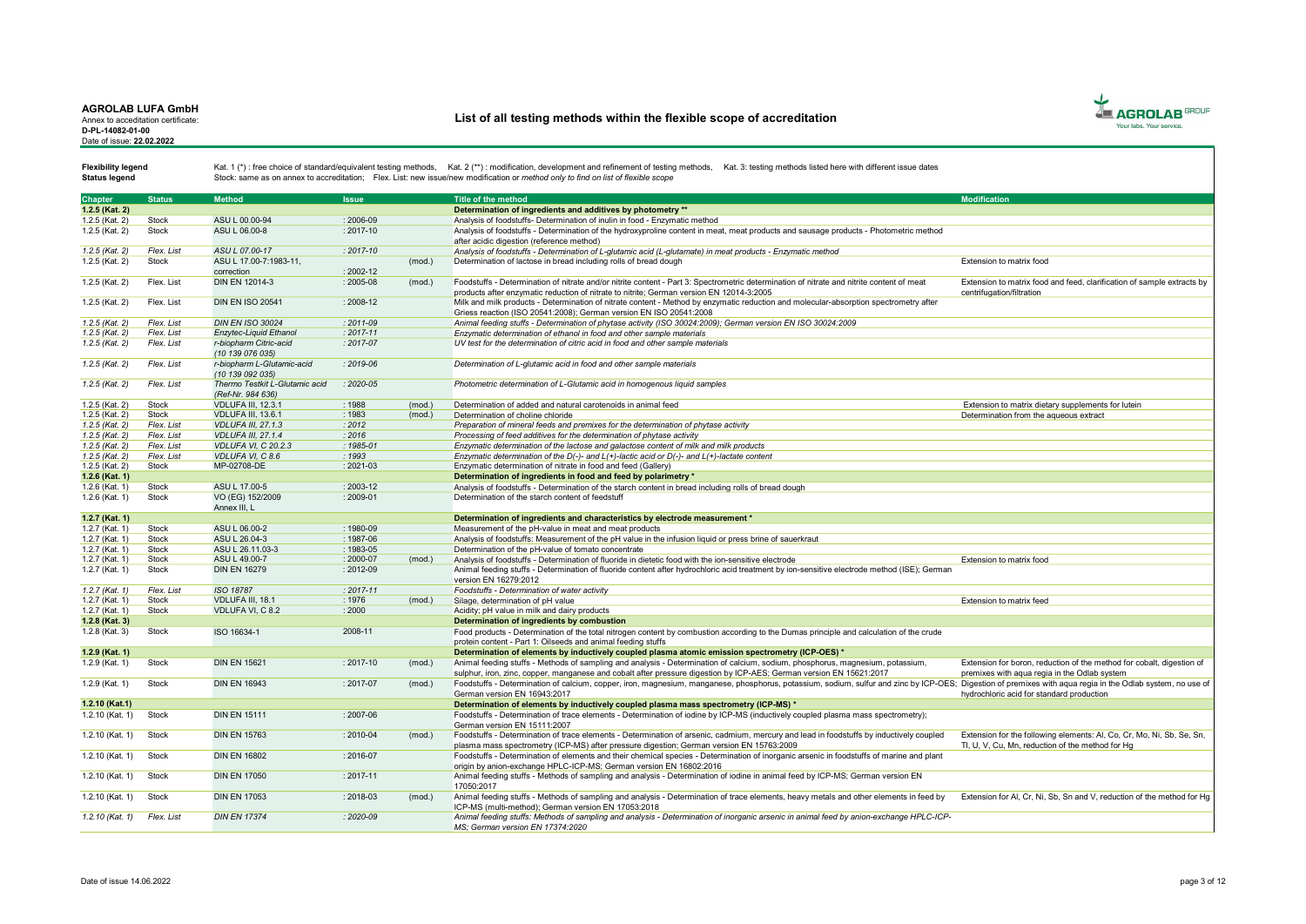Annex to acceditation certificate: D-PL-14082-01-00 Date of issue: 22.02.2022

# List of all testing methods within the flexible scope of accreditation



Status legend

| <b>Chapter</b>    | <b>Status</b> | <b>Method</b>                  | <b>Issue</b>  |        | <b>Title of the method</b>                                                                                                                                                                                                        | <b>Modification</b>                                                    |
|-------------------|---------------|--------------------------------|---------------|--------|-----------------------------------------------------------------------------------------------------------------------------------------------------------------------------------------------------------------------------------|------------------------------------------------------------------------|
| 1.2.5 (Kat. 2)    |               |                                |               |        | Determination of ingredients and additives by photometry **                                                                                                                                                                       |                                                                        |
| 1.2.5 (Kat. 2)    | Stock         | ASU L 00.00-94                 | $: 2006 - 09$ |        | Analysis of foodstuffs- Determination of inulin in food - Enzymatic method                                                                                                                                                        |                                                                        |
|                   | Stock         | ASU L 06.00-8                  | $: 2017 - 10$ |        |                                                                                                                                                                                                                                   |                                                                        |
| 1.2.5 (Kat. 2)    |               |                                |               |        | Analysis of foodstuffs - Determination of the hydroxyproline content in meat, meat products and sausage products - Photometric method                                                                                             |                                                                        |
| $1.2.5$ (Kat. 2)  | Flex. List    | ASU L 07.00-17                 | $: 2017 - 10$ |        | after acidic digestion (reference method)<br>Analysis of foodstuffs - Determination of L-alutamic acid (L-alutamate) in meat products - Enzymatic method                                                                          |                                                                        |
|                   |               |                                |               |        |                                                                                                                                                                                                                                   |                                                                        |
| 1.2.5 (Kat. 2)    | Stock         | ASU L 17.00-7:1983-11,         |               | (mod.) | Determination of lactose in bread including rolls of bread dough                                                                                                                                                                  | Extension to matrix food                                               |
|                   |               | correction<br>DIN EN 12014-3   | $: 2002 - 12$ |        |                                                                                                                                                                                                                                   |                                                                        |
| 1.2.5 (Kat. 2)    | Flex. List    |                                | $: 2005 - 08$ | (mod.) | Foodstuffs - Determination of nitrate and/or nitrite content - Part 3: Spectrometric determination of nitrate and nitrite content of meat                                                                                         | Extension to matrix food and feed, clarification of sample extracts by |
| 1.2.5 (Kat. 2)    | Flex, List    | <b>DIN EN ISO 20541</b>        | $: 2008 - 12$ |        | products after enzymatic reduction of nitrate to nitrite: German version EN 12014-3:2005<br>Milk and milk products - Determination of nitrate content - Method by enzymatic reduction and molecular-absorption spectrometry after | centrifugation/filtration                                              |
|                   |               |                                |               |        |                                                                                                                                                                                                                                   |                                                                        |
| $1.2.5$ (Kat. 2)  | Flex. List    | <b>DIN EN ISO 30024</b>        | $: 2011 - 09$ |        | Griess reaction (ISO 20541:2008); German version EN ISO 20541:2008<br>Animal feeding stuffs - Determination of phytase activity (ISO 30024:2009); German version EN ISO 30024:2009                                                |                                                                        |
| 1.2.5 (Kat. 2)    | Flex. List    | Enzytec-Liquid Ethanol         | $: 2017 - 11$ |        | Enzymatic determination of ethanol in food and other sample materials                                                                                                                                                             |                                                                        |
| $1.2.5$ (Kat. 2)  | Flex. List    | r-biopharm Citric-acid         | $: 2017 - 07$ |        |                                                                                                                                                                                                                                   |                                                                        |
|                   |               | (10 139 076 035)               |               |        | UV test for the determination of citric acid in food and other sample materials                                                                                                                                                   |                                                                        |
| 1.2.5 (Kat. 2)    | Flex. List    | r-biopharm L-Glutamic-acid     | $: 2019 - 06$ |        | Determination of L-glutamic acid in food and other sample materials                                                                                                                                                               |                                                                        |
|                   |               | (10 139 092 035)               |               |        |                                                                                                                                                                                                                                   |                                                                        |
| $1.2.5$ (Kat. 2)  | Flex. List    | Thermo Testkit L-Glutamic acid | $: 2020 - 05$ |        | Photometric determination of L-Glutamic acid in homogenous liquid samples                                                                                                                                                         |                                                                        |
|                   |               | (Ref-Nr. 984 636)              |               |        |                                                                                                                                                                                                                                   |                                                                        |
| 1.2.5 (Kat. 2)    | Stock         | <b>VDLUFA III. 12.3.1</b>      | : 1988        | (mod.) | Determination of added and natural carotenoids in animal feed                                                                                                                                                                     | Extension to matrix dietary supplements for lutein                     |
| 1.2.5 (Kat. 2)    | Stock         | <b>VDLUFA III, 13.6.1</b>      | : 1983        | (mod.) | Determination of choline chloride                                                                                                                                                                                                 | Determination from the agueous extract                                 |
| $1.2.5$ (Kat. 2)  | Flex. List    | <b>VDLUFA III, 27,1,3</b>      | : 2012        |        | Preparation of mineral feeds and premixes for the determination of phytase activity                                                                                                                                               |                                                                        |
| 1.2.5 (Kat. 2)    | Flex. List    | <b>VDLUFA III, 27,1,4</b>      | 2016          |        | Processing of feed additives for the determination of phytase activity                                                                                                                                                            |                                                                        |
| 1.2.5 (Kat. 2)    | Flex. List    | <b>VDLUFA VI. C 20.2.3</b>     | $: 1985 - 01$ |        | Enzymatic determination of the lactose and galactose content of milk and milk products                                                                                                                                            |                                                                        |
| 1.2.5 (Kat. 2)    | Flex. List    | VDLUFA VI. C 8.6               | : 1993        |        | Enzymatic determination of the $D(-)$ - and $L(+)$ -lactic acid or $D(-)$ - and $L(+)$ -lactate content                                                                                                                           |                                                                        |
| 1.2.5 (Kat. 2)    | Stock         | MP-02708-DE                    | $: 2021 - 03$ |        | Enzymatic determination of nitrate in food and feed (Gallery)                                                                                                                                                                     |                                                                        |
| $1.2.6$ (Kat. 1)  |               |                                |               |        | Determination of ingredients in food and feed by polarimetry *                                                                                                                                                                    |                                                                        |
| 1.2.6 (Kat. 1)    | Stock         | ASU L 17.00-5                  | 2003-12       |        | Analysis of foodstuffs - Determination of the starch content in bread including rolls of bread dough                                                                                                                              |                                                                        |
| 1.2.6 (Kat. 1)    | Stock         | VO (EG) 152/2009               | $: 2009 - 01$ |        | Determination of the starch content of feedstuff                                                                                                                                                                                  |                                                                        |
|                   |               | Annex III. L                   |               |        |                                                                                                                                                                                                                                   |                                                                        |
| 1.2.7 (Kat. 1)    |               |                                |               |        | Determination of ingredients and characteristics by electrode measurement *                                                                                                                                                       |                                                                        |
| $1.2.7$ (Kat. 1)  | Stock         | ASU L 06.00-2                  | $: 1980 - 09$ |        | Measurement of the pH-value in meat and meat products                                                                                                                                                                             |                                                                        |
| 1.2.7 (Kat. 1)    | Stock         | ASU L 26.04-3                  | $: 1987 - 06$ |        | Analysis of foodstuffs: Measurement of the pH value in the infusion liquid or press brine of sauerkraut                                                                                                                           |                                                                        |
| 1.2.7 (Kat. 1)    | Stock         | ASU L 26.11.03-3               | $: 1983 - 05$ |        | Determination of the pH-value of tomato concentrate                                                                                                                                                                               |                                                                        |
| 1.2.7 (Kat. 1)    | Stock         | ASU L 49.00-7                  | $: 2000 - 07$ | (mod.) | Analysis of foodstuffs - Determination of fluoride in dietetic food with the ion-sensitive electrode                                                                                                                              | Extension to matrix food                                               |
| 1.2.7 (Kat. 1)    | Stock         | <b>DIN EN 16279</b>            | $: 2012 - 09$ |        | Animal feeding stuffs - Determination of fluoride content after hydrochloric acid treatment by ion-sensitive electrode method (ISE); German                                                                                       |                                                                        |
|                   |               |                                |               |        | version EN 16279:2012                                                                                                                                                                                                             |                                                                        |
| 1.2.7 (Kat. 1)    | Flex. List    | ISO 18787                      | $: 2017 - 11$ |        | Foodstuffs - Determination of water activity                                                                                                                                                                                      |                                                                        |
| 1.2.7 (Kat. 1)    | Stock         | VDLUFA III, 18.1               | : 1976        | (mod.) | Silage, determination of pH value                                                                                                                                                                                                 | Extension to matrix feed                                               |
| $1.2.7$ (Kat. 1)  | Stock         | VDLUFA VI, C 8.2               | : 2000        |        | Acidity; pH value in milk and dairy products                                                                                                                                                                                      |                                                                        |
| 1.2.8 (Kat. 3)    |               |                                |               |        | Determination of ingredients by combustion                                                                                                                                                                                        |                                                                        |
| 1.2.8 (Kat. 3)    | Stock         | ISO 16634-1                    | 2008-11       |        | Food products - Determination of the total nitrogen content by combustion according to the Dumas principle and calculation of the crude                                                                                           |                                                                        |
|                   |               |                                |               |        | protein content - Part 1: Oilseeds and animal feeding stuffs                                                                                                                                                                      |                                                                        |
| 1.2.9 (Kat. 1)    |               |                                |               |        | Determination of elements by inductively coupled plasma atomic emission spectrometry (ICP-OES) *                                                                                                                                  |                                                                        |
| $1.2.9$ (Kat. 1)  | Stock         | <b>DIN EN 15621</b>            | $: 2017 - 10$ | (mod.) | Animal feeding stuffs - Methods of sampling and analysis - Determination of calcium, sodium, phosphorus, magnesium, potassium,                                                                                                    | Extension for boron, reduction of the method for cobalt, digestion of  |
|                   |               |                                |               |        | sulphur, iron, zinc, copper, manganese and cobalt after pressure digestion by ICP-AES; German version EN 15621:2017                                                                                                               | premixes with agua regia in the Odlab system                           |
| 1.2.9 (Kat. 1)    | Stock         | <b>DIN EN 16943</b>            | $: 2017 - 07$ | (mod.) | Foodstuffs - Determination of calcium, copper, iron, magnesium, manganese, phosphorus, potassium, sodium, sulfur and zinc by ICP-OES; Digestion of premixes with aqua regia in the Odlab system, no use of                        |                                                                        |
|                   |               |                                |               |        | German version EN 16943:2017                                                                                                                                                                                                      | hydrochloric acid for standard production                              |
| 1.2.10 (Kat.1)    |               |                                |               |        | Determination of elements by inductively coupled plasma mass spectrometry (ICP-MS) *                                                                                                                                              |                                                                        |
| 1.2.10 (Kat. 1)   | Stock         | <b>DIN EN 15111</b>            | $: 2007 - 06$ |        | Foodstuffs - Determination of trace elements - Determination of iodine by ICP-MS (inductively coupled plasma mass spectrometry);                                                                                                  |                                                                        |
|                   |               |                                |               |        | German version EN 15111:2007                                                                                                                                                                                                      |                                                                        |
| 1.2.10 (Kat. 1)   | Stock         | <b>DIN EN 15763</b>            | $: 2010 - 04$ | (mod.) | Foodstuffs - Determination of trace elements - Determination of arsenic, cadmium, mercury and lead in foodstuffs by inductively coupled                                                                                           | Extension for the following elements: Al, Co, Cr, Mo, Ni, Sb, Se, Sn,  |
|                   |               |                                |               |        | plasma mass spectrometry (ICP-MS) after pressure digestion; German version EN 15763:2009                                                                                                                                          | Tl. U. V. Cu. Mn. reduction of the method for Ha                       |
| 1.2.10 (Kat. 1)   | Stock         | <b>DIN EN 16802</b>            | $: 2016 - 07$ |        | Foodstuffs - Determination of elements and their chemical species - Determination of inorganic arsenic in foodstuffs of marine and plant                                                                                          |                                                                        |
|                   |               |                                |               |        | origin by anion-exchange HPLC-ICP-MS; German version EN 16802:2016                                                                                                                                                                |                                                                        |
| 1.2.10 (Kat. 1)   | Stock         | <b>DIN EN 17050</b>            | $: 2017 - 11$ |        | Animal feeding stuffs - Methods of sampling and analysis - Determination of iodine in animal feed by ICP-MS; German version EN                                                                                                    |                                                                        |
|                   |               |                                |               |        | 17050:2017                                                                                                                                                                                                                        |                                                                        |
| 1.2.10 (Kat. 1)   | Stock         | <b>DIN EN 17053</b>            | $: 2018 - 03$ | (mod.) | Animal feeding stuffs - Methods of sampling and analysis - Determination of trace elements, heavy metals and other elements in feed by                                                                                            | Extension for Al. Cr. Ni. Sb. Sn and V. reduction of the method for Hg |
|                   |               |                                |               |        | ICP-MS (multi-method): German version EN 17053:2018                                                                                                                                                                               |                                                                        |
| $1.2.10$ (Kat. 1) | Flex. List    | <b>DIN EN 17374</b>            | $: 2020 - 09$ |        | Animal feeding stuffs: Methods of sampling and analysis - Determination of inorganic arsenic in animal feed by anion-exchange HPLC-ICP-                                                                                           |                                                                        |
|                   |               |                                |               |        | MS: German version EN 17374:2020                                                                                                                                                                                                  |                                                                        |
|                   |               |                                |               |        |                                                                                                                                                                                                                                   |                                                                        |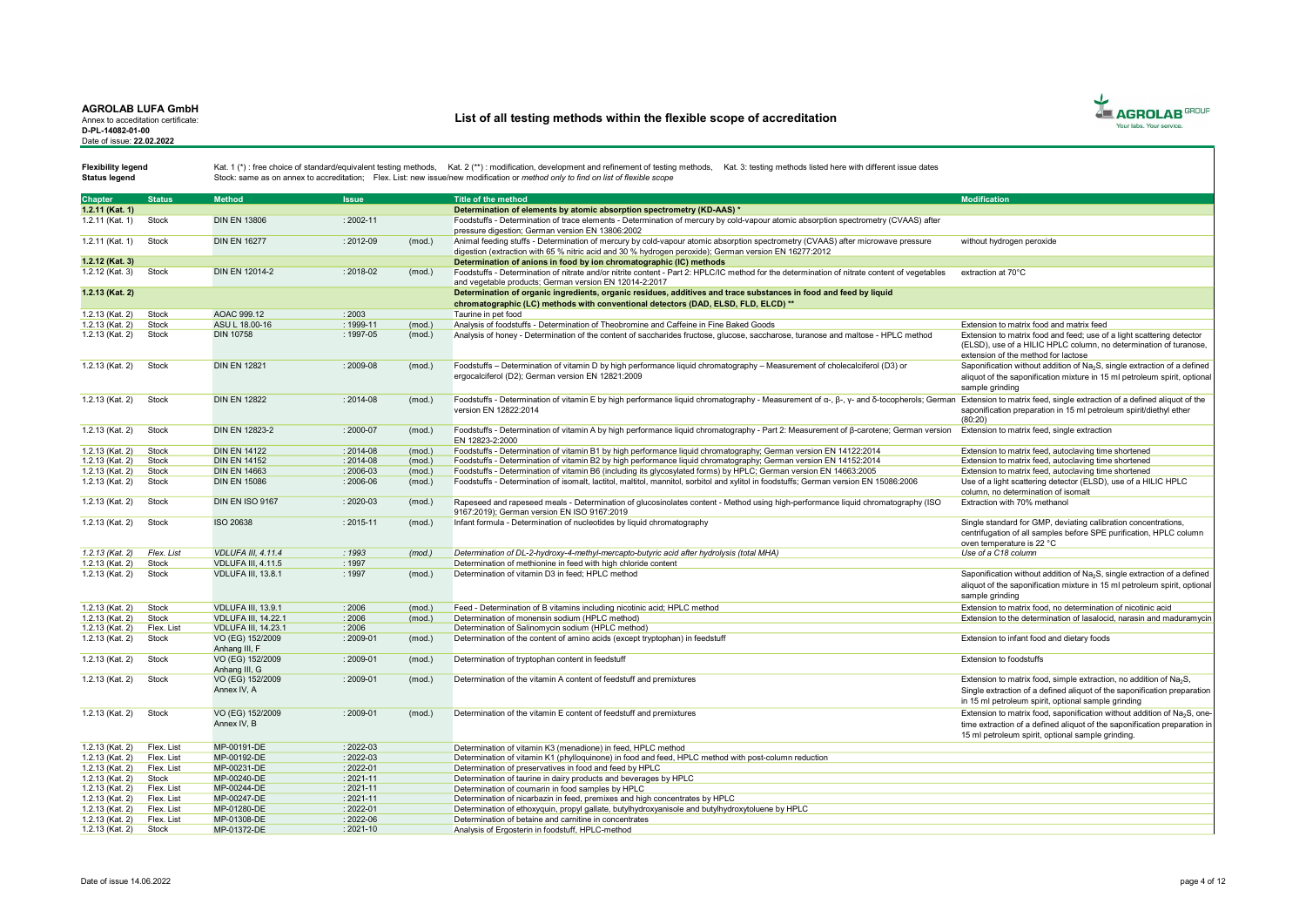Annex to acceditation certificate: D-PL-14082-01-00 Date of issue: 22.02.2022

# List of all testing methods within the flexible scope of accreditation



Status legend

| <b>Chapter</b>  | <b>Status</b> | <b>Method</b>              | <b>Issue</b>  |        | Title of the method                                                                                                                                                                                                                    | <b>Modification</b>                                                                  |
|-----------------|---------------|----------------------------|---------------|--------|----------------------------------------------------------------------------------------------------------------------------------------------------------------------------------------------------------------------------------------|--------------------------------------------------------------------------------------|
| 1.2.11 (Kat. 1) |               |                            |               |        | Determination of elements by atomic absorption spectrometry (KD-AAS) *                                                                                                                                                                 |                                                                                      |
|                 |               |                            |               |        |                                                                                                                                                                                                                                        |                                                                                      |
| 1.2.11 (Kat. 1) | Stock         | <b>DIN EN 13806</b>        | $: 2002 - 11$ |        | Foodstuffs - Determination of trace elements - Determination of mercury by cold-vapour atomic absorption spectrometry (CVAAS) after                                                                                                    |                                                                                      |
|                 |               |                            |               |        | pressure digestion: German version EN 13806:2002                                                                                                                                                                                       |                                                                                      |
| 1.2.11 (Kat. 1) | Stock         | <b>DIN EN 16277</b>        | $: 2012 - 09$ | (mod.) | Animal feeding stuffs - Determination of mercury by cold-vapour atomic absorption spectrometry (CVAAS) after microwave pressure                                                                                                        | without hydrogen peroxide                                                            |
|                 |               |                            |               |        | digestion (extraction with 65 % nitric acid and 30 % hydrogen peroxide); German version EN 16277:2012                                                                                                                                  |                                                                                      |
| 1.2.12 (Kat. 3) |               |                            |               |        | Determination of anions in food by ion chromatographic (IC) methods                                                                                                                                                                    |                                                                                      |
| 1.2.12 (Kat. 3) | Stock         | DIN EN 12014-2             | $: 2018 - 02$ | (mod.) | Foodstuffs - Determination of nitrate and/or nitrite content - Part 2: HPLC/IC method for the determination of nitrate content of vegetables                                                                                           | extraction at 70°C                                                                   |
|                 |               |                            |               |        | and vegetable products; German version EN 12014-2:2017                                                                                                                                                                                 |                                                                                      |
| 1.2.13 (Kat. 2) |               |                            |               |        | Determination of organic ingredients, organic residues, additives and trace substances in food and feed by liquid                                                                                                                      |                                                                                      |
|                 |               |                            |               |        | chromatographic (LC) methods with conventional detectors (DAD, ELSD, FLD, ELCD) **                                                                                                                                                     |                                                                                      |
| 1.2.13 (Kat. 2) | Stock         | AOAC 999.12                | : 2003        |        | Taurine in pet food                                                                                                                                                                                                                    |                                                                                      |
| 1.2.13 (Kat. 2) | Stock         | ASU L 18.00-16             | : 1999-11     | (mod.) | Analysis of foodstuffs - Determination of Theobromine and Caffeine in Fine Baked Goods                                                                                                                                                 | Extension to matrix food and matrix feed                                             |
| 1.2.13 (Kat. 2) | Stock         | <b>DIN 10758</b>           | : 1997-05     | (mod.) | Analysis of honey - Determination of the content of saccharides fructose, glucose, saccharose, turanose and maltose - HPLC method                                                                                                      | Extension to matrix food and feed; use of a light scattering detector                |
|                 |               |                            |               |        |                                                                                                                                                                                                                                        | (ELSD), use of a HILIC HPLC column, no determination of turanose,                    |
|                 |               |                            |               |        |                                                                                                                                                                                                                                        | extension of the method for lactose                                                  |
| 1.2.13 (Kat. 2) | Stock         | <b>DIN EN 12821</b>        | : 2009-08     | (mod.) | Foodstuffs - Determination of vitamin D by high performance liquid chromatography - Measurement of cholecalciferol (D3) or                                                                                                             | Saponification without addition of Na <sub>2</sub> S, single extraction of a defined |
|                 |               |                            |               |        | ergocalciferol (D2); German version EN 12821:2009                                                                                                                                                                                      | aliquot of the saponification mixture in 15 ml petroleum spirit, optional            |
|                 |               |                            |               |        |                                                                                                                                                                                                                                        | sample grinding                                                                      |
|                 |               |                            |               |        |                                                                                                                                                                                                                                        |                                                                                      |
| 1.2.13 (Kat. 2) | Stock         | <b>DIN EN 12822</b>        | : 2014-08     | (mod.) | Foodstuffs - Determination of vitamin E by high performance liquid chromatography - Measurement of $\alpha$ -, $\beta$ -, $\gamma$ - and δ-tocopherols; German Extension to matrix feed, single extraction of a defined aliquot of the |                                                                                      |
|                 |               |                            |               |        | version EN 12822:2014                                                                                                                                                                                                                  | saponification preparation in 15 ml petroleum spirit/diethyl ether                   |
|                 |               |                            |               |        |                                                                                                                                                                                                                                        | (80:20)                                                                              |
| 1.2.13 (Kat. 2) | Stock         | <b>DIN EN 12823-2</b>      | $: 2000 - 07$ | (mod.) | Foodstuffs - Determination of vitamin A by high performance liquid chromatography - Part 2: Measurement of β-carotene; German version                                                                                                  | Extension to matrix feed, single extraction                                          |
|                 |               |                            |               |        | EN 12823-2:2000                                                                                                                                                                                                                        |                                                                                      |
| 1.2.13 (Kat. 2) | Stock         | <b>DIN EN 14122</b>        | $: 2014 - 08$ | (mod.) | Foodstuffs - Determination of vitamin B1 by high performance liquid chromatography; German version EN 14122:2014                                                                                                                       | Extension to matrix feed, autoclaving time shortened                                 |
| 1.2.13 (Kat. 2) | Stock         | <b>DIN EN 14152</b>        | $: 2014 - 08$ | (mod.) | Foodstuffs - Determination of vitamin B2 by high performance liquid chromatography; German version EN 14152:2014                                                                                                                       | Extension to matrix feed, autoclaving time shortened                                 |
| 1.2.13 (Kat. 2) | Stock         | <b>DIN EN 14663</b>        | : 2006-03     | (mod.) | Foodstuffs - Determination of vitamin B6 (including its glycosylated forms) by HPLC; German version EN 14663:2005                                                                                                                      | Extension to matrix feed, autoclaving time shortened                                 |
| 1.2.13 (Kat. 2) | Stock         | <b>DIN EN 15086</b>        | : 2006-06     | (mod.) | Foodstuffs - Determination of isomalt, lactitol, maltitol, mannitol, sorbitol and xylitol in foodstuffs; German version EN 15086:2006                                                                                                  | Use of a light scattering detector (ELSD), use of a HILIC HPLC                       |
|                 |               |                            |               |        |                                                                                                                                                                                                                                        | column, no determination of isomalt                                                  |
| 1.2.13 (Kat. 2) | Stock         | DIN EN ISO 9167            | $: 2020 - 03$ | (mod.) | Rapeseed and rapeseed meals - Determination of glucosinolates content - Method using high-performance liquid chromatography (ISO                                                                                                       | Extraction with 70% methanol                                                         |
|                 |               |                            |               |        | 9167:2019); German version EN ISO 9167:2019                                                                                                                                                                                            |                                                                                      |
| 1.2.13 (Kat. 2) | <b>Stock</b>  | ISO 20638                  | : 2015-11     | (mod.) | Infant formula - Determination of nucleotides by liquid chromatography                                                                                                                                                                 | Single standard for GMP, deviating calibration concentrations,                       |
|                 |               |                            |               |        |                                                                                                                                                                                                                                        | centrifugation of all samples before SPE purification, HPLC column                   |
|                 |               |                            |               |        |                                                                                                                                                                                                                                        | oven temperature is 22 °C                                                            |
| 1.2.13 (Kat. 2) | Flex. List    | <b>VDLUFA III. 4.11.4</b>  | : 1993        | (mod.) | Determination of DL-2-hydroxy-4-methyl-mercapto-butyric acid after hydrolysis (total MHA)                                                                                                                                              | Use of a C18 column                                                                  |
| 1.2.13 (Kat. 2) | Stock         | <b>VDLUFA III. 4.11.5</b>  | : 1997        |        | Determination of methionine in feed with high chloride content                                                                                                                                                                         |                                                                                      |
| 1.2.13 (Kat. 2) | Stock         | <b>VDLUFA III. 13.8.1</b>  | : 1997        | (mod.) | Determination of vitamin D3 in feed: HPLC method                                                                                                                                                                                       | Saponification without addition of Na <sub>2</sub> S, single extraction of a defined |
|                 |               |                            |               |        |                                                                                                                                                                                                                                        | aliquot of the saponification mixture in 15 ml petroleum spirit, optional            |
|                 |               |                            |               |        |                                                                                                                                                                                                                                        |                                                                                      |
|                 |               |                            |               |        |                                                                                                                                                                                                                                        | sample grinding                                                                      |
| 1.2.13 (Kat. 2) | Stock         | <b>VDLUFA III. 13.9.1</b>  | : 2006        | (mod.) | Feed - Determination of B vitamins including nicotinic acid: HPLC method                                                                                                                                                               | Extension to matrix food, no determination of nicotinic acid                         |
| 1.2.13 (Kat. 2) | Stock         | <b>VDLUFA III. 14.22.1</b> | 2006          | (mod.) | Determination of monensin sodium (HPLC method)                                                                                                                                                                                         | Extension to the determination of lasalocid, narasin and maduramycin                 |
| 1.2.13 (Kat. 2) | Flex. List    | <b>VDLUFA III, 14.23.1</b> | : 2006        |        | Determination of Salinomycin sodium (HPLC method)                                                                                                                                                                                      |                                                                                      |
| 1.2.13 (Kat. 2) | Stock         | VO (EG) 152/2009           | $: 2009 - 01$ | (mod.) | Determination of the content of amino acids (except tryptophan) in feedstuff                                                                                                                                                           | Extension to infant food and dietary foods                                           |
|                 |               | Anhang III. F              |               |        |                                                                                                                                                                                                                                        |                                                                                      |
| 1.2.13 (Kat. 2) | Stock         | VO (EG) 152/2009           | : 2009-01     | (mod.) | Determination of tryptophan content in feedstuff                                                                                                                                                                                       | Extension to foodstuffs                                                              |
|                 |               | Anhang III, G              |               |        |                                                                                                                                                                                                                                        |                                                                                      |
| 1.2.13 (Kat. 2) | <b>Stock</b>  | VO (EG) 152/2009           | $: 2009 - 01$ | (mod.) | Determination of the vitamin A content of feedstuff and premixtures                                                                                                                                                                    | Extension to matrix food, simple extraction, no addition of $Na2S$ ,                 |
|                 |               | Annex IV, A                |               |        |                                                                                                                                                                                                                                        | Single extraction of a defined aliquot of the saponification preparation             |
|                 |               |                            |               |        |                                                                                                                                                                                                                                        | in 15 ml petroleum spirit, optional sample grinding                                  |
| 1.2.13 (Kat. 2) | Stock         | VO (EG) 152/2009           | $: 2009 - 01$ | (mod.) | Determination of the vitamin E content of feedstuff and premixtures                                                                                                                                                                    | Extension to matrix food, saponification without addition of Na <sub>2</sub> S, one- |
|                 |               | Annex IV, B                |               |        |                                                                                                                                                                                                                                        |                                                                                      |
|                 |               |                            |               |        |                                                                                                                                                                                                                                        | time extraction of a defined aliquot of the saponification preparation in            |
|                 |               |                            |               |        |                                                                                                                                                                                                                                        | 15 ml petroleum spirit, optional sample grinding.                                    |
| 1.2.13 (Kat. 2) | Flex. List    | MP-00191-DE                | $: 2022 - 03$ |        | Determination of vitamin K3 (menadione) in feed, HPLC method                                                                                                                                                                           |                                                                                      |
| 1.2.13 (Kat. 2) | Flex. List    | MP-00192-DE                | : 2022-03     |        | Determination of vitamin K1 (phylloquinone) in food and feed, HPLC method with post-column reduction                                                                                                                                   |                                                                                      |
| 1.2.13 (Kat. 2) | Flex. List    | MP-00231-DE                | $: 2022 - 01$ |        | Determination of preservatives in food and feed by HPLC                                                                                                                                                                                |                                                                                      |
| 1.2.13 (Kat. 2) | Stock         | MP-00240-DE                | $: 2021 - 11$ |        | Determination of taurine in dairy products and beverages by HPLC                                                                                                                                                                       |                                                                                      |
| 1.2.13 (Kat. 2) | Flex. List    | MP-00244-DE                | $: 2021 - 11$ |        | Determination of coumarin in food samples by HPLC                                                                                                                                                                                      |                                                                                      |
| 1.2.13 (Kat. 2) | Flex. List    | MP-00247-DE                | $: 2021 - 11$ |        | Determination of nicarbazin in feed, premixes and high concentrates by HPLC                                                                                                                                                            |                                                                                      |
| 1.2.13 (Kat. 2) | Flex. List    | MP-01280-DE                | $: 2022 - 01$ |        | Determination of ethoxyquin, propyl gallate, butylhydroxyanisole and butylhydroxytoluene by HPLC                                                                                                                                       |                                                                                      |
| 1.2.13 (Kat. 2) | Flex. List    | MP-01308-DE                | $: 2022 - 06$ |        | Determination of betaine and carnitine in concentrates                                                                                                                                                                                 |                                                                                      |
| 1.2.13 (Kat. 2) | Stock         | MP-01372-DE                | $: 2021 - 10$ |        | Analysis of Ergosterin in foodstuff, HPLC-method                                                                                                                                                                                       |                                                                                      |
|                 |               |                            |               |        |                                                                                                                                                                                                                                        |                                                                                      |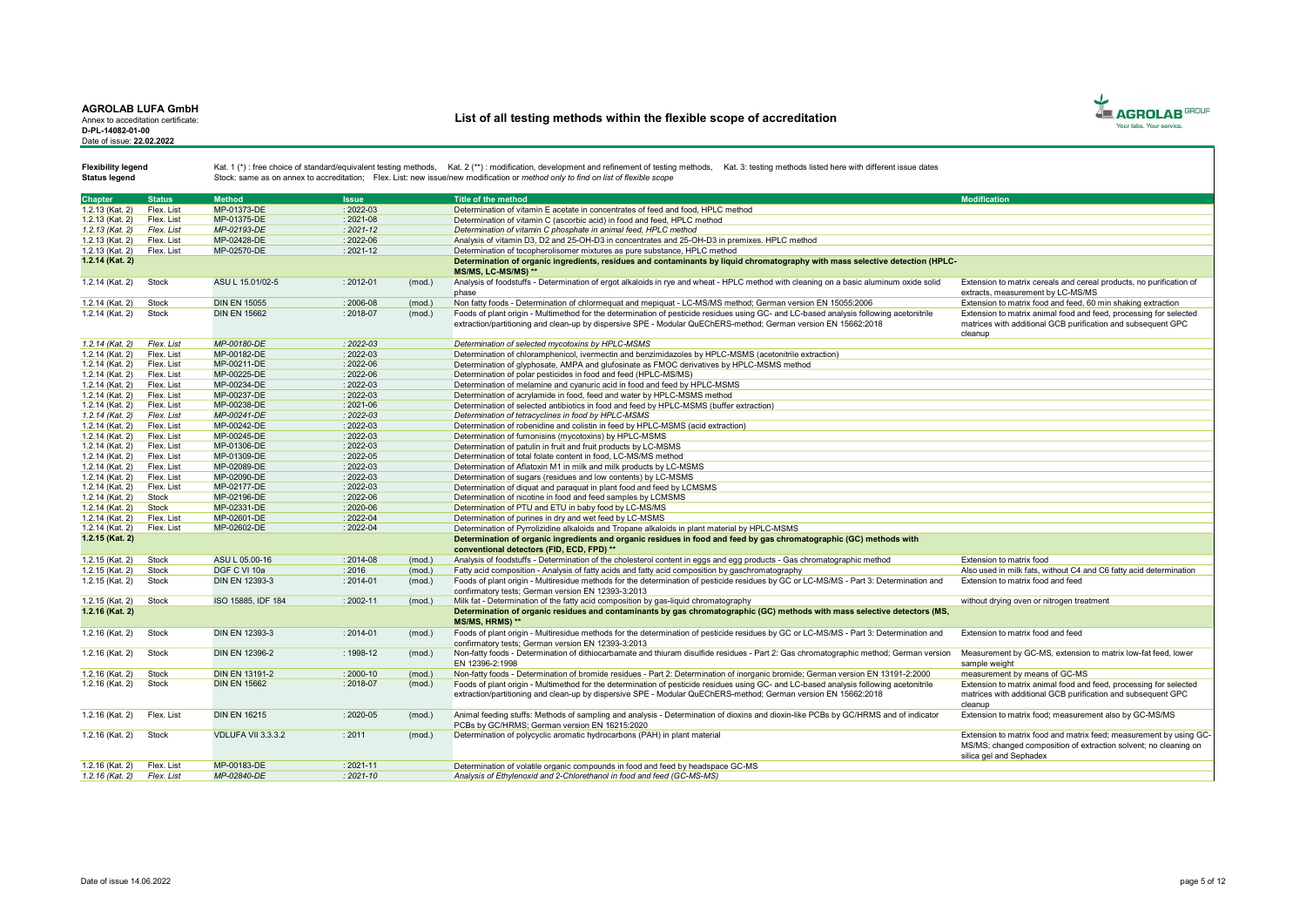#### AGROLAB LUFA GmbH Annex to acceditation certificate:

D-PL-14082-01-00 Date of issue: 22.02.2022

# List of all testing methods within the flexible scope of accreditation



Status legend

| <b>Chapter</b>    | <b>Status</b> | <b>Method</b>         | <b>Issue</b>  |        | Title of the method                                                                                                                                                                                                                                      | <b>Modification</b>                                                                                                                                               |
|-------------------|---------------|-----------------------|---------------|--------|----------------------------------------------------------------------------------------------------------------------------------------------------------------------------------------------------------------------------------------------------------|-------------------------------------------------------------------------------------------------------------------------------------------------------------------|
| 1.2.13 (Kat. 2)   | Flex. List    | MP-01373-DE           | $: 2022 - 03$ |        | Determination of vitamin E acetate in concentrates of feed and food. HPLC method                                                                                                                                                                         |                                                                                                                                                                   |
| 1.2.13 (Kat. 2)   | Flex. List    | MP-01375-DE           | $: 2021 - 08$ |        | Determination of vitamin C (ascorbic acid) in food and feed. HPLC method                                                                                                                                                                                 |                                                                                                                                                                   |
| 1.2.13 (Kat. 2)   | Flex. List    | MP-02193-DE           | $: 2021 - 12$ |        | Determination of vitamin C phosphate in animal feed. HPLC method                                                                                                                                                                                         |                                                                                                                                                                   |
| 1.2.13 (Kat. 2)   | Flex. List    | MP-02428-DE           | $: 2022 - 06$ |        | Analysis of vitamin D3, D2 and 25-OH-D3 in concentrates and 25-OH-D3 in premixes. HPLC method                                                                                                                                                            |                                                                                                                                                                   |
| 1.2.13 (Kat. 2)   | Flex. List    | MP-02570-DE           | $: 2021 - 12$ |        | Determination of tocopherolisomer mixtures as pure substance, HPLC method                                                                                                                                                                                |                                                                                                                                                                   |
| 1.2.14 (Kat. 2)   |               |                       |               |        | Determination of organic ingredients, residues and contaminants by liquid chromatography with mass selective detection (HPLC-                                                                                                                            |                                                                                                                                                                   |
|                   |               |                       |               |        | MS/MS. LC-MS/MS) **                                                                                                                                                                                                                                      |                                                                                                                                                                   |
| 1.2.14 (Kat. 2)   | Stock         | ASU L 15.01/02-5      | $: 2012 - 01$ | (mod.) | Analysis of foodstuffs - Determination of ergot alkaloids in rye and wheat - HPLC method with cleaning on a basic aluminum oxide solid<br>phase                                                                                                          | Extension to matrix cereals and cereal products, no purification of<br>extracts, measurement by LC-MS/MS                                                          |
| 1.2.14 (Kat. 2)   | Stock         | <b>DIN EN 15055</b>   | $: 2006 - 08$ | (mod.  | Non fatty foods - Determination of chlormeguat and mepiguat - LC-MS/MS method: German version EN 15055:2006                                                                                                                                              | Extension to matrix food and feed, 60 min shaking extraction                                                                                                      |
| 1.2.14 (Kat. 2)   | Stock         | <b>DIN EN 15662</b>   | $: 2018 - 07$ | (mod.) | Foods of plant origin - Multimethod for the determination of pesticide residues using GC- and LC-based analysis following acetonitrile<br>extraction/partitioning and clean-up by dispersive SPE - Modular QuEChERS-method; German version EN 15662:2018 | Extension to matrix animal food and feed, processing for selected<br>matrices with additional GCB purification and subsequent GPC<br>cleanup                      |
| 1.2.14 (Kat. 2)   | Flex. List    | MP-00180-DE           | $: 2022 - 03$ |        | Determination of selected mycotoxins by HPLC-MSMS                                                                                                                                                                                                        |                                                                                                                                                                   |
| 1.2.14 (Kat. 2)   | Flex. List    | MP-00182-DE           | $: 2022 - 03$ |        | Determination of chloramphenicol, ivermectin and benzimidazoles by HPLC-MSMS (acetonitrile extraction)                                                                                                                                                   |                                                                                                                                                                   |
| 1.2.14 (Kat. 2)   | Flex. List    | MP-00211-DE           | $: 2022 - 06$ |        | Determination of glyphosate, AMPA and glufosinate as FMOC derivatives by HPLC-MSMS method                                                                                                                                                                |                                                                                                                                                                   |
| 1.2.14 (Kat. 2)   | Flex. List    | MP-00225-DE           | $: 2022 - 06$ |        | Determination of polar pesticides in food and feed (HPLC-MS/MS)                                                                                                                                                                                          |                                                                                                                                                                   |
| 1.2.14 (Kat. 2)   | Flex. List    | MP-00234-DE           | $: 2022 - 03$ |        | Determination of melamine and cvanuric acid in food and feed by HPLC-MSMS                                                                                                                                                                                |                                                                                                                                                                   |
| 1.2.14 (Kat. 2)   | Flex. List    | MP-00237-DE           | $: 2022 - 03$ |        | Determination of acrylamide in food, feed and water by HPLC-MSMS method                                                                                                                                                                                  |                                                                                                                                                                   |
| 1.2.14 (Kat. 2)   | Flex. List    | MP-00238-DE           | $: 2021 - 06$ |        | Determination of selected antibiotics in food and feed by HPLC-MSMS (buffer extraction)                                                                                                                                                                  |                                                                                                                                                                   |
| 1.2.14 (Kat. 2)   | Flex. List    | MP-00241-DE           | $: 2022 - 03$ |        | Determination of tetracyclines in food by HPLC-MSMS                                                                                                                                                                                                      |                                                                                                                                                                   |
| 1.2.14 (Kat. 2)   | Flex. List    | MP-00242-DE           | $: 2022 - 03$ |        | Determination of robenidine and colistin in feed by HPLC-MSMS (acid extraction)                                                                                                                                                                          |                                                                                                                                                                   |
| 1.2.14 (Kat. 2)   | Flex. List    | MP-00245-DE           | $: 2022 - 03$ |        | Determination of fumonisins (mycotoxins) by HPLC-MSMS                                                                                                                                                                                                    |                                                                                                                                                                   |
| $1.2.14$ (Kat. 2) | Flex. List    | MP-01306-DE           | $: 2022 - 03$ |        | Determination of patulin in fruit and fruit products by LC-MSMS                                                                                                                                                                                          |                                                                                                                                                                   |
| 1.2.14 (Kat. 2)   | Flex. List    | MP-01309-DE           | $: 2022 - 05$ |        | Determination of total folate content in food, LC-MS/MS method                                                                                                                                                                                           |                                                                                                                                                                   |
| 1.2.14 (Kat. 2)   | Flex. List    | MP-02089-DE           | $: 2022 - 03$ |        | Determination of Aflatoxin M1 in milk and milk products by LC-MSMS                                                                                                                                                                                       |                                                                                                                                                                   |
| 1.2.14 (Kat. 2)   | Flex. List    | MP-02090-DE           | $: 2022 - 03$ |        | Determination of sugars (residues and low contents) by LC-MSMS                                                                                                                                                                                           |                                                                                                                                                                   |
| 1.2.14 (Kat. 2)   | Flex. List    | MP-02177-DE           | $: 2022 - 03$ |        | Determination of diguat and paraguat in plant food and feed by LCMSMS                                                                                                                                                                                    |                                                                                                                                                                   |
| 1.2.14 (Kat. 2)   | Stock         | MP-02196-DE           | $: 2022 - 06$ |        | Determination of nicotine in food and feed samples by LCMSMS                                                                                                                                                                                             |                                                                                                                                                                   |
| 1.2.14 (Kat. 2)   | Stock         | MP-02331-DE           | $: 2020 - 06$ |        | Determination of PTU and ETU in baby food by LC-MS/MS                                                                                                                                                                                                    |                                                                                                                                                                   |
| 1.2.14 (Kat. 2)   | Flex. List    | MP-02601-DE           | $: 2022 - 04$ |        | Determination of purines in dry and wet feed by LC-MSMS                                                                                                                                                                                                  |                                                                                                                                                                   |
| 1.2.14 (Kat. 2)   | Flex. List    | MP-02602-DE           | $: 2022 - 04$ |        | Determination of Pyrrolizidine alkaloids and Tropane alkaloids in plant material by HPLC-MSMS                                                                                                                                                            |                                                                                                                                                                   |
| 1.2.15 (Kat. 2)   |               |                       |               |        | Determination of organic ingredients and organic residues in food and feed by gas chromatographic (GC) methods with                                                                                                                                      |                                                                                                                                                                   |
|                   |               |                       |               |        | conventional detectors (FID, ECD, FPD) **                                                                                                                                                                                                                |                                                                                                                                                                   |
| 1.2.15 (Kat. 2)   | Stock         | ASU L 05.00-16        | $: 2014 - 08$ | (mod.) | Analysis of foodstuffs - Determination of the cholesterol content in eggs and egg products - Gas chromatographic method                                                                                                                                  | Extension to matrix food                                                                                                                                          |
| 1.2.15 (Kat. 2)   | Stock         | DGF C VI 10a          | 2016          | (mod.) | Fatty acid composition - Analysis of fatty acids and fatty acid composition by gaschromatography                                                                                                                                                         | Also used in milk fats, without C4 and C6 fatty acid determination                                                                                                |
| 1.2.15 (Kat. 2)   | Stock         | DIN EN 12393-3        | $: 2014 - 01$ | (mod.) | Foods of plant origin - Multiresidue methods for the determination of pesticide residues by GC or LC-MS/MS - Part 3: Determination and<br>confirmatory tests: German version EN 12393-3:2013                                                             | Extension to matrix food and feed                                                                                                                                 |
| 1.2.15 (Kat. 2)   | Stock         | ISO 15885, IDF 184    | $: 2002 - 11$ | (mod.) | Milk fat - Determination of the fatty acid composition by gas-liquid chromatography                                                                                                                                                                      | without drving oven or nitrogen treatment                                                                                                                         |
| 1.2.16 (Kat. 2)   |               |                       |               |        | Determination of organic residues and contaminants by gas chromatographic (GC) methods with mass selective detectors (MS,                                                                                                                                |                                                                                                                                                                   |
|                   |               |                       |               |        | <b>MS/MS. HRMS) **</b>                                                                                                                                                                                                                                   |                                                                                                                                                                   |
| 1.2.16 (Kat. 2)   | Stock         | DIN EN 12393-3        | $: 2014 - 01$ | (mod.) | Foods of plant origin - Multiresidue methods for the determination of pesticide residues by GC or LC-MS/MS - Part 3: Determination and<br>confirmatory tests: German version EN 12393-3:2013                                                             | Extension to matrix food and feed                                                                                                                                 |
| 1.2.16 (Kat. 2)   | Stock         | <b>DIN EN 12396-2</b> | $: 1998 - 12$ | (mod.) | Non-fatty foods - Determination of dithiocarbamate and thiuram disulfide residues - Part 2: Gas chromatographic method; German version<br>EN 12396-2:1998                                                                                                | Measurement by GC-MS, extension to matrix low-fat feed, lower<br>sample weight                                                                                    |
| 1.2.16 (Kat. 2)   | Stock         | <b>DIN EN 13191-2</b> | $: 2000 - 10$ | (mod.] | Non-fatty foods - Determination of bromide residues - Part 2: Determination of inorganic bromide; German version EN 13191-2:2000                                                                                                                         | measurement by means of GC-MS                                                                                                                                     |
| 1.2.16 (Kat. 2)   | Stock         | <b>DIN EN 15662</b>   | $: 2018 - 07$ | (mod.) | Foods of plant origin - Multimethod for the determination of pesticide residues using GC- and LC-based analysis following acetonitrile                                                                                                                   | Extension to matrix animal food and feed, processing for selected                                                                                                 |
|                   |               |                       |               |        | extraction/partitioning and clean-up by dispersive SPE - Modular QuEChERS-method: German version EN 15662:2018                                                                                                                                           | matrices with additional GCB purification and subsequent GPC<br>cleanup                                                                                           |
| 1.2.16 (Kat. 2)   | Flex. List    | <b>DIN EN 16215</b>   | $: 2020 - 05$ | (mod.) | Animal feeding stuffs: Methods of sampling and analysis - Determination of dioxins and dioxin-like PCBs by GC/HRMS and of indicator<br>PCBs by GC/HRMS; German version EN 16215:2020                                                                     | Extension to matrix food; measurement also by GC-MS/MS                                                                                                            |
| 1.2.16 (Kat. 2)   | Stock         | VDLUFA VII 3.3.3.2    | : 2011        | (mod.) | Determination of polycyclic aromatic hydrocarbons (PAH) in plant material                                                                                                                                                                                | Extension to matrix food and matrix feed: measurement by using GC-<br>MS/MS: changed composition of extraction solvent; no cleaning on<br>silica gel and Sephadex |
| 1.2.16 (Kat. 2)   | Flex, List    | MP-00183-DE           | $: 2021 - 11$ |        | Determination of volatile organic compounds in food and feed by headspace GC-MS                                                                                                                                                                          |                                                                                                                                                                   |
| 1.2.16 (Kat. 2)   | Flex. List    | MP-02840-DE           | $2021 - 10$   |        | Analysis of Ethylenoxid and 2-Chlorethanol in food and feed (GC-MS-MS)                                                                                                                                                                                   |                                                                                                                                                                   |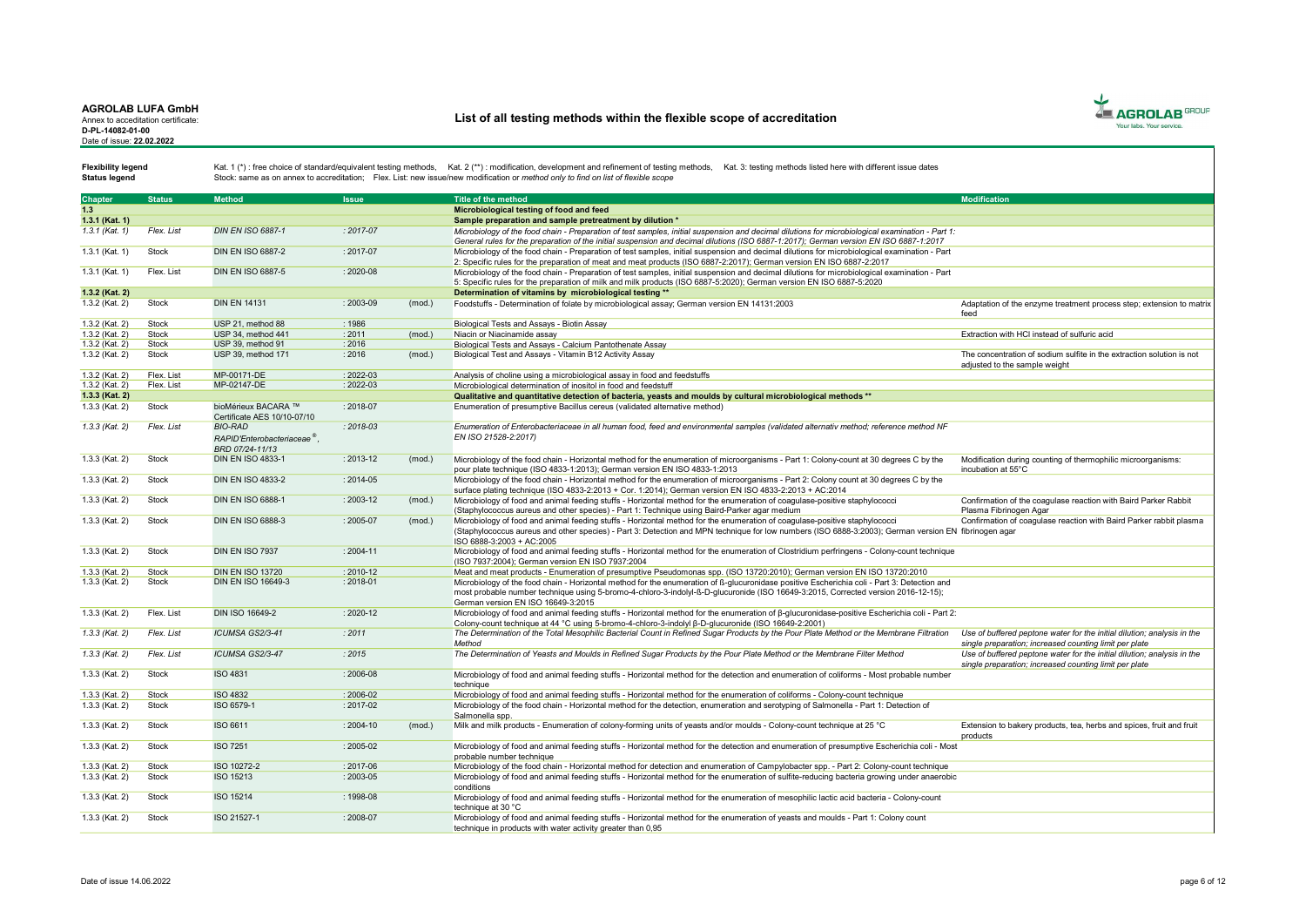Annex to acceditation certificate: D-PL-14082-01-00 Date of issue: 22.02.2022

# List of all testing methods within the flexible scope of accreditation



Status legend

| <b>Chapter</b>   | <b>Status</b> | <b>Method</b>                           | <b>Issue</b>  |        | <b>Title of the method</b>                                                                                                                           | <b>Modification</b>                                                     |
|------------------|---------------|-----------------------------------------|---------------|--------|------------------------------------------------------------------------------------------------------------------------------------------------------|-------------------------------------------------------------------------|
|                  |               |                                         |               |        |                                                                                                                                                      |                                                                         |
| 1.3              |               |                                         |               |        | Microbiological testing of food and feed                                                                                                             |                                                                         |
| 1.3.1 (Kat. 1)   |               |                                         |               |        | Sample preparation and sample pretreatment by dilution *                                                                                             |                                                                         |
| $1.3.1$ (Kat. 1) | Flex. List    | <b>DIN EN ISO 6887-1</b>                | $: 2017 - 07$ |        | Microbiology of the food chain - Preparation of test samples, initial suspension and decimal dilutions for microbiological examination - Part 1:     |                                                                         |
|                  |               |                                         |               |        | General rules for the preparation of the initial suspension and decimal dilutions (ISO 6887-1:2017); German version EN ISO 6887-1:2017               |                                                                         |
| 1.3.1 (Kat. 1)   | Stock         | DIN EN ISO 6887-2                       | $: 2017 - 07$ |        | Microbiology of the food chain - Preparation of test samples, initial suspension and decimal dilutions for microbiological examination - Part        |                                                                         |
|                  |               |                                         |               |        | 2: Specific rules for the preparation of meat and meat products (ISO 6887-2:2017); German version EN ISO 6887-2:2017                                 |                                                                         |
| $1.3.1$ (Kat. 1) | Flex. List    | <b>DIN EN ISO 6887-5</b>                | $: 2020 - 08$ |        | Microbiology of the food chain - Preparation of test samples, initial suspension and decimal dilutions for microbiological examination - Part        |                                                                         |
|                  |               |                                         |               |        | 5: Specific rules for the preparation of milk and milk products (ISO 6887-5:2020); German version EN ISO 6887-5:2020                                 |                                                                         |
| 1.3.2 (Kat. 2)   |               |                                         |               |        | Determination of vitamins by microbiological testing **                                                                                              |                                                                         |
| 1.3.2 (Kat. 2)   | Stock         | <b>DIN EN 14131</b>                     | : 2003-09     | (mod.) | Foodstuffs - Determination of folate by microbiological assay; German version EN 14131:2003                                                          | Adaptation of the enzyme treatment process step; extension to matrix    |
|                  |               |                                         |               |        |                                                                                                                                                      | feed                                                                    |
| 1.3.2 (Kat. 2)   | Stock         | USP 21, method 88                       | : 1986        |        | Biological Tests and Assays - Biotin Assay                                                                                                           |                                                                         |
| 1.3.2 (Kat. 2)   | Stock         | USP 34, method 441                      | : 2011        | (mod.) | Niacin or Niacinamide assay                                                                                                                          | Extraction with HCI instead of sulfuric acid                            |
| 1.3.2 (Kat. 2)   | Stock         | USP 39, method 91                       | : 2016        |        | Biological Tests and Assays - Calcium Pantothenate Assay                                                                                             |                                                                         |
|                  | Stock         | USP 39, method 171                      | : 2016        |        |                                                                                                                                                      | The concentration of sodium sulfite in the extraction solution is not   |
| 1.3.2 (Kat. 2)   |               |                                         |               | (mod.) | Biological Test and Assays - Vitamin B12 Activity Assay                                                                                              |                                                                         |
|                  |               |                                         |               |        |                                                                                                                                                      | adiusted to the sample weight                                           |
| 1.3.2 (Kat. 2)   | Flex. List    | MP-00171-DE                             | $: 2022 - 03$ |        | Analysis of choline using a microbiological assay in food and feedstuffs                                                                             |                                                                         |
| 1.3.2 (Kat. 2)   | Flex. List    | MP-02147-DE                             | $: 2022 - 03$ |        | Microbiological determination of inositol in food and feedstuff                                                                                      |                                                                         |
| 1.3.3 (Kat. 2)   |               |                                         |               |        | Qualitative and quantitative detection of bacteria, yeasts and moulds by cultural microbiological methods **                                         |                                                                         |
| 1.3.3 (Kat. 2)   | Stock         | bioMérieux BACARA ™                     | $: 2018 - 07$ |        | Enumeration of presumptive Bacillus cereus (validated alternative method)                                                                            |                                                                         |
|                  |               | Certificate AES 10/10-07/10             |               |        |                                                                                                                                                      |                                                                         |
| $1.3.3$ (Kat. 2) | Flex. List    | <b>BIO-RAD</b>                          | $: 2018 - 03$ |        | Enumeration of Enterobacteriaceae in all human food, feed and environmental samples (validated alternativ method; reference method NF                |                                                                         |
|                  |               | RAPID'Enterobacteriaceae <sup>®</sup> . |               |        | EN ISO 21528-2:2017)                                                                                                                                 |                                                                         |
|                  |               | BRD 07/24-11/13                         |               |        |                                                                                                                                                      |                                                                         |
| 1.3.3 (Kat. 2)   | Stock         | <b>DIN EN ISO 4833-1</b>                | : 2013-12     | (mod.) | Microbiology of the food chain - Horizontal method for the enumeration of microorganisms - Part 1: Colony-count at 30 degrees C by the               | Modification during counting of thermophilic microorganisms:            |
|                  |               |                                         |               |        |                                                                                                                                                      | incubation at 55°C                                                      |
|                  | Stock         | DIN EN ISO 4833-2                       |               |        | pour plate technique (ISO 4833-1:2013); German version EN ISO 4833-1:2013                                                                            |                                                                         |
| 1.3.3 (Kat. 2)   |               |                                         | $: 2014 - 05$ |        | Microbiology of the food chain - Horizontal method for the enumeration of microorganisms - Part 2: Colony count at 30 degrees C by the               |                                                                         |
|                  |               |                                         |               |        | surface plating technique (ISO 4833-2:2013 + Cor. 1:2014): German version EN ISO 4833-2:2013 + AC:2014                                               |                                                                         |
| 1.3.3 (Kat. 2)   | Stock         | <b>DIN EN ISO 6888-1</b>                | : 2003-12     | (mod.) | Microbiology of food and animal feeding stuffs - Horizontal method for the enumeration of coagulase-positive staphylococci                           | Confirmation of the coagulase reaction with Baird Parker Rabbit         |
|                  |               |                                         |               |        | (Staphylococcus aureus and other species) - Part 1: Technique using Baird-Parker agar medium                                                         | Plasma Fibrinogen Agar                                                  |
| 1.3.3 (Kat. 2)   | Stock         | <b>DIN EN ISO 6888-3</b>                | $: 2005 - 07$ | (mod.) | Microbiology of food and animal feeding stuffs - Horizontal method for the enumeration of coagulase-positive staphylococci                           | Confirmation of coagulase reaction with Baird Parker rabbit plasma      |
|                  |               |                                         |               |        | (Staphylococcus aureus and other species) - Part 3: Detection and MPN technique for low numbers (ISO 6888-3:2003): German version EN fibrinogen agar |                                                                         |
|                  |               |                                         |               |        | ISO 6888-3:2003 + AC:2005                                                                                                                            |                                                                         |
| 1.3.3 (Kat. 2)   | Stock         | <b>DIN EN ISO 7937</b>                  | $: 2004 - 11$ |        | Microbiology of food and animal feeding stuffs - Horizontal method for the enumeration of Clostridium perfringens - Colony-count technique           |                                                                         |
|                  |               |                                         |               |        | (ISO 7937:2004): German version EN ISO 7937:2004                                                                                                     |                                                                         |
| 1.3.3 (Kat. 2)   | Stock         | <b>DIN EN ISO 13720</b>                 | $: 2010 - 12$ |        | Meat and meat products - Enumeration of presumptive Pseudomonas spp. (ISO 13720:2010); German version EN ISO 13720:2010                              |                                                                         |
| 1.3.3 (Kat. 2)   | <b>Stock</b>  | <b>DIN EN ISO 16649-3</b>               | $: 2018 - 01$ |        | Microbiology of the food chain - Horizontal method for the enumeration of ß-glucuronidase positive Escherichia coli - Part 3: Detection and          |                                                                         |
|                  |               |                                         |               |        | most probable number technique using 5-bromo-4-chloro-3-indolyl-ß-D-glucuronide (ISO 16649-3:2015, Corrected version 2016-12-15);                    |                                                                         |
|                  |               |                                         |               |        | German version EN ISO 16649-3:2015                                                                                                                   |                                                                         |
| 1.3.3 (Kat. 2)   | Flex. List    | DIN ISO 16649-2                         | $: 2020 - 12$ |        | Microbiology of food and animal feeding stuffs - Horizontal method for the enumeration of 8-glucuronidase-positive Escherichia coli - Part 2:        |                                                                         |
|                  |               |                                         |               |        | Colony-count technique at 44 °C using 5-bromo-4-chloro-3-indolyl ß-D-glucuronide (ISO 16649-2:2001)                                                  |                                                                         |
| $1.3.3$ (Kat. 2) | Flex. List    | ICUMSA GS2/3-41                         | : 2011        |        | The Determination of the Total Mesophilic Bacterial Count in Refined Sugar Products by the Pour Plate Method or the Membrane Filtration              | Use of buffered peptone water for the initial dilution: analysis in the |
|                  |               |                                         |               |        | Method                                                                                                                                               | single preparation; increased counting limit per plate                  |
|                  | Flex. List    | ICUMSA GS2/3-47                         | : 2015        |        |                                                                                                                                                      |                                                                         |
| $1.3.3$ (Kat. 2) |               |                                         |               |        | The Determination of Yeasts and Moulds in Refined Sugar Products by the Pour Plate Method or the Membrane Filter Method                              | Use of buffered peptone water for the initial dilution; analysis in the |
|                  |               |                                         |               |        |                                                                                                                                                      | single preparation; increased counting limit per plate                  |
| 1.3.3 (Kat. 2)   | Stock         | <b>ISO 4831</b>                         | : 2006-08     |        | Microbiology of food and animal feeding stuffs - Horizontal method for the detection and enumeration of coliforms - Most probable number             |                                                                         |
|                  |               |                                         |               |        | technique                                                                                                                                            |                                                                         |
| 1.3.3 (Kat. 2)   | Stock         | <b>ISO 4832</b>                         | $: 2006 - 02$ |        | Microbiology of food and animal feeding stuffs - Horizontal method for the enumeration of coliforms - Colony-count technique                         |                                                                         |
| 1.3.3 (Kat. 2)   | Stock         | ISO 6579-1                              | : 2017-02     |        | Microbiology of the food chain - Horizontal method for the detection, enumeration and serotyping of Salmonella - Part 1: Detection of                |                                                                         |
|                  |               |                                         |               |        | Salmonella spp.                                                                                                                                      |                                                                         |
| 1.3.3 (Kat. 2)   | Stock         | ISO 6611                                | $: 2004 - 10$ | (mod.) | Milk and milk products - Enumeration of colony-forming units of yeasts and/or moulds - Colony-count technique at 25 °C                               | Extension to bakery products, tea, herbs and spices, fruit and fruit    |
|                  |               |                                         |               |        |                                                                                                                                                      | products                                                                |
| 1.3.3 (Kat. 2)   | Stock         | <b>ISO 7251</b>                         | $: 2005 - 02$ |        | Microbiology of food and animal feeding stuffs - Horizontal method for the detection and enumeration of presumptive Escherichia coli - Most          |                                                                         |
|                  |               |                                         |               |        | probable number technique                                                                                                                            |                                                                         |
| 1.3.3 (Kat. 2)   | Stock         | ISO 10272-2                             | $: 2017 - 06$ |        | Microbiology of the food chain - Horizontal method for detection and enumeration of Campylobacter spp. - Part 2: Colony-count technique              |                                                                         |
| 1.3.3 (Kat. 2)   | Stock         | ISO 15213                               | $: 2003 - 05$ |        | Microbiology of food and animal feeding stuffs - Horizontal method for the enumeration of sulfite-reducing bacteria growing under anaerobic          |                                                                         |
|                  |               |                                         |               |        | conditions                                                                                                                                           |                                                                         |
| 1.3.3 (Kat. 2)   | Stock         | ISO 15214                               | : 1998-08     |        | Microbiology of food and animal feeding stuffs - Horizontal method for the enumeration of mesophilic lactic acid bacteria - Colony-count             |                                                                         |
|                  |               |                                         |               |        | technique at 30 °C                                                                                                                                   |                                                                         |
| 1.3.3 (Kat. 2)   | <b>Stock</b>  | ISO 21527-1                             | $: 2008 - 07$ |        | Microbiology of food and animal feeding stuffs - Horizontal method for the enumeration of veasts and moulds - Part 1: Colony count                   |                                                                         |
|                  |               |                                         |               |        | technique in products with water activity greater than 0,95                                                                                          |                                                                         |
|                  |               |                                         |               |        |                                                                                                                                                      |                                                                         |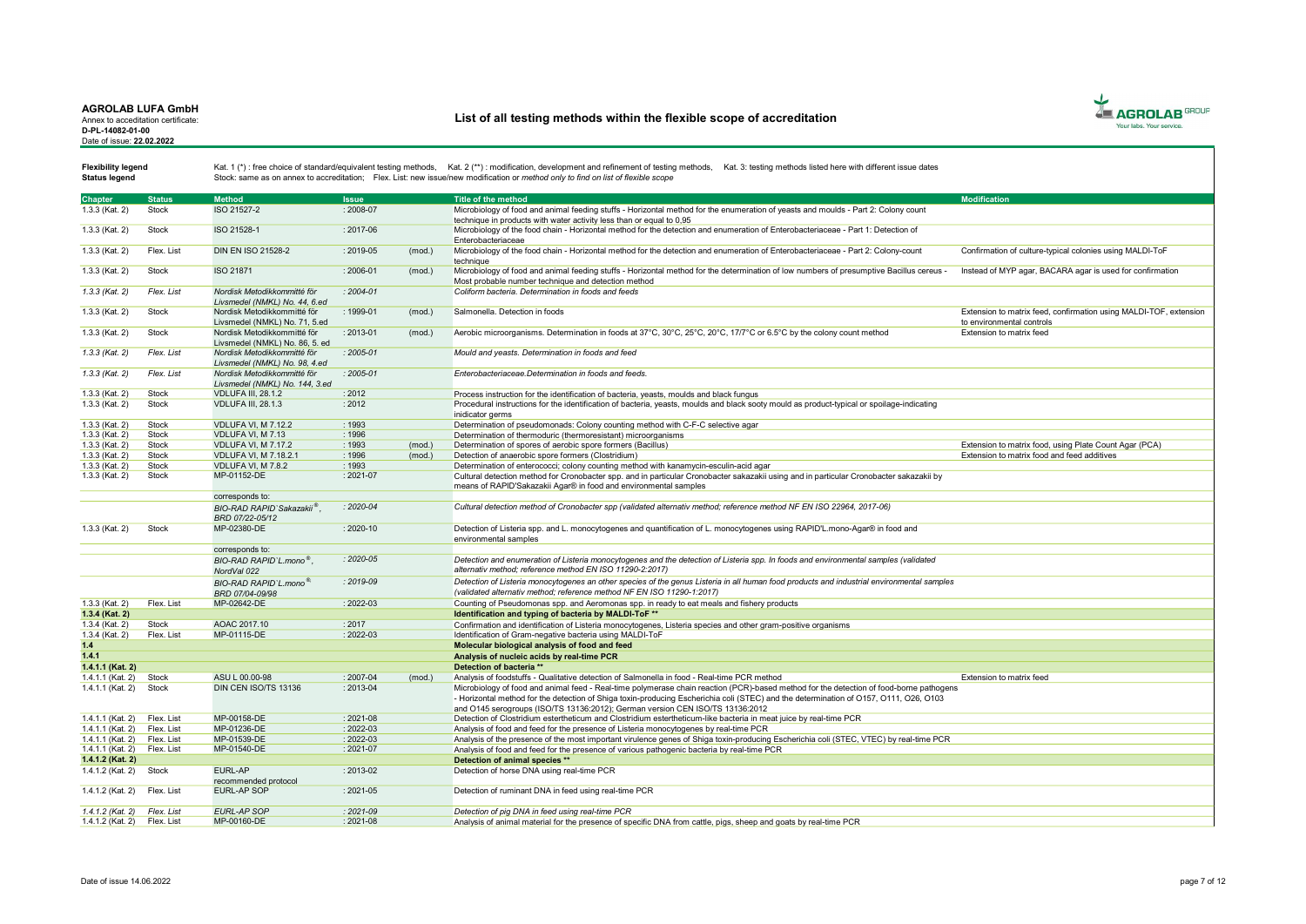Annex to acceditation certificate: D-PL-14082-01-00 Date of issue: 22.02.2022

# List of all testing methods within the flexible scope of accreditation



Status legend

| <b>Chapter</b>              | <b>Status</b>       | <b>Method</b>                                                | <b>Issue</b>  |        | Title of the method                                                                                                                        | <b>Modification</b>                                               |
|-----------------------------|---------------------|--------------------------------------------------------------|---------------|--------|--------------------------------------------------------------------------------------------------------------------------------------------|-------------------------------------------------------------------|
| 1.3.3 (Kat. 2)              | Stock               | ISO 21527-2                                                  | : 2008-07     |        | Microbiology of food and animal feeding stuffs - Horizontal method for the enumeration of veasts and moulds - Part 2: Colony count         |                                                                   |
|                             |                     |                                                              |               |        | technique in products with water activity less than or equal to 0,95                                                                       |                                                                   |
| 1.3.3 (Kat. 2)              | <b>Stock</b>        | ISO 21528-1                                                  | : 2017-06     |        | Microbiology of the food chain - Horizontal method for the detection and enumeration of Enterobacteriaceae - Part 1: Detection of          |                                                                   |
|                             |                     |                                                              |               |        | Enterobacteriaceae                                                                                                                         |                                                                   |
| 1.3.3 (Kat. 2)              | Flex. List          | <b>DIN EN ISO 21528-2</b>                                    | : 2019-05     | (mod.) | Microbiology of the food chain - Horizontal method for the detection and enumeration of Enterobacteriaceae - Part 2: Colony-count          | Confirmation of culture-typical colonies using MALDI-ToF          |
|                             |                     |                                                              |               |        | technique                                                                                                                                  |                                                                   |
| 1.3.3 (Kat. 2)              | Stock               | <b>ISO 21871</b>                                             | $: 2006 - 01$ | (mod.) | Microbiology of food and animal feeding stuffs - Horizontal method for the determination of low numbers of presumptive Bacillus cereus -   | Instead of MYP agar, BACARA agar is used for confirmation         |
|                             |                     |                                                              |               |        | Most probable number technique and detection method                                                                                        |                                                                   |
| $1.3.3$ (Kat. 2)            | Flex. List          | Nordisk Metodikkommitté för                                  | $: 2004 - 01$ |        | Coliform bacteria. Determination in foods and feeds                                                                                        |                                                                   |
|                             | Stock               | Livsmedel (NMKL) No. 44, 6.ed<br>Nordisk Metodikkommitté för | : 1999-01     |        | Salmonella, Detection in foods                                                                                                             |                                                                   |
| 1.3.3 (Kat. 2)              |                     |                                                              |               | (mod.) |                                                                                                                                            | Extension to matrix feed, confirmation using MALDI-TOF, extension |
| 1.3.3 (Kat. 2)              | <b>Stock</b>        | Livsmedel (NMKL) No. 71, 5.ed<br>Nordisk Metodikkommitté för | $: 2013 - 01$ | (mod.) | Aerobic microorganisms. Determination in foods at 37°C, 30°C, 25°C, 20°C, 17/7°C or 6.5°C by the colony count method                       | to environmental controls<br>Extension to matrix feed             |
|                             |                     | Livsmedel (NMKL) No. 86, 5. ed                               |               |        |                                                                                                                                            |                                                                   |
| $1.3.3$ (Kat. 2)            | Flex. List          | Nordisk Metodikkommitté för                                  | $: 2005 - 01$ |        | Mould and yeasts. Determination in foods and feed                                                                                          |                                                                   |
|                             |                     | Livsmedel (NMKL) No. 98, 4.ed                                |               |        |                                                                                                                                            |                                                                   |
| 1.3.3 (Kat. 2)              | Flex. List          | Nordisk Metodikkommitté för                                  | $: 2005 - 01$ |        | Enterobacteriaceae.Determination in foods and feeds.                                                                                       |                                                                   |
|                             |                     | Livsmedel (NMKL) No. 144, 3.ed                               |               |        |                                                                                                                                            |                                                                   |
| 1.3.3 (Kat. 2)              | <b>Stock</b>        | <b>VDLUFA III, 28.1.2</b>                                    | : 2012        |        | Process instruction for the identification of bacteria, yeasts, moulds and black fungus                                                    |                                                                   |
| 1.3.3 (Kat. 2)              | Stock               | <b>VDLUFA III. 28.1.3</b>                                    | : 2012        |        | Procedural instructions for the identification of bacteria, yeasts, moulds and black sooty mould as product-typical or spoilage-indicating |                                                                   |
|                             |                     |                                                              |               |        | inidicator germs                                                                                                                           |                                                                   |
| 1.3.3 (Kat. 2)              | Stock               | <b>VDLUFA VI, M 7.12.2</b>                                   | : 1993        |        | Determination of pseudomonads: Colony counting method with C-F-C selective agar                                                            |                                                                   |
| 1.3.3 (Kat. 2)              | Stock               | VDLUFA VI. M 7.13                                            | : 1996        |        | Determination of thermoduric (thermoresistant) microorganisms                                                                              |                                                                   |
| 1.3.3 (Kat. 2)              | Stock               | VDLUFA VI. M 7.17.2                                          | : 1993        | (mod.) | Determination of spores of aerobic spore formers (Bacillus)                                                                                | Extension to matrix food, using Plate Count Agar (PCA)            |
| 1.3.3 (Kat. 2)              | Stock               | <b>VDLUFA VI. M 7.18.2.1</b>                                 | : 1996        | (mod.) | Detection of anaerobic spore formers (Clostridium)                                                                                         | Extension to matrix food and feed additives                       |
| 1.3.3 (Kat. 2)              | Stock               | VDLUFA VI, M 7.8.2                                           | : 1993        |        | Determination of enterococci; colony counting method with kanamycin-esculin-acid agar                                                      |                                                                   |
| 1.3.3 (Kat. 2)              | Stock               | MP-01152-DE                                                  | $: 2021 - 07$ |        | Cultural detection method for Cronobacter spp. and in particular Cronobacter sakazakii using and in particular Cronobacter sakazakii by    |                                                                   |
|                             |                     |                                                              |               |        | means of RAPID'Sakazakii Agar® in food and environmental samples                                                                           |                                                                   |
|                             |                     | corresponds to:                                              |               |        |                                                                                                                                            |                                                                   |
|                             |                     | BIO-RAD RAPID`Sakazakii <sup>®</sup>                         | : 2020-04     |        | Cultural detection method of Cronobacter spp (validated alternativ method; reference method NF EN ISO 22964, 2017-06)                      |                                                                   |
|                             |                     | BRD 07/22-05/12                                              |               |        |                                                                                                                                            |                                                                   |
| 1.3.3 (Kat. 2)              | Stock               | MP-02380-DE                                                  | $: 2020 - 10$ |        | Detection of Listeria spp. and L. monocytogenes and quantification of L. monocytogenes using RAPID'L.mono-Agar® in food and                |                                                                   |
|                             |                     |                                                              |               |        | environmental samples                                                                                                                      |                                                                   |
|                             |                     | corresponds to:                                              |               |        |                                                                                                                                            |                                                                   |
|                             |                     | BIO-RAD RAPID'L.mono <sup>®</sup> .                          | $: 2020 - 05$ |        | Detection and enumeration of Listeria monocytogenes and the detection of Listeria spp. In foods and environmental samples (validated       |                                                                   |
|                             |                     | NordVal 022                                                  |               |        | alternativ method: reference method EN ISO 11290-2:2017)                                                                                   |                                                                   |
|                             |                     | BIO-RAD RAPID'L mono <sup>®</sup>                            | $: 2019 - 09$ |        | Detection of Listeria monocytogenes an other species of the genus Listeria in all human food products and industrial environmental samples |                                                                   |
|                             |                     | BRD 07/04-09/98                                              |               |        | (validated alternativ method; reference method NF EN ISO 11290-1:2017)                                                                     |                                                                   |
| 1.3.3 (Kat. 2)              | Flex. List          | MP-02642-DE                                                  | : 2022-03     |        | Counting of Pseudomonas spp. and Aeromonas spp. in ready to eat meals and fishery products                                                 |                                                                   |
| 1.3.4 (Kat. 2)              |                     |                                                              |               |        | Identification and typing of bacteria by MALDI-ToF **                                                                                      |                                                                   |
| 1.3.4 (Kat. 2)              | Stock<br>Flex. List | AOAC 2017.10<br>MP-01115-DE                                  | : 2017        |        | Confirmation and identification of Listeria monocytogenes, Listeria species and other gram-positive organisms                              |                                                                   |
| 1.3.4 (Kat. 2)              |                     |                                                              | 2022-03       |        | Identification of Gram-negative bacteria using MALDI-ToF                                                                                   |                                                                   |
| 1.4<br>1.4.1                |                     |                                                              |               |        | Molecular biological analysis of food and feed<br>Analysis of nucleic acids by real-time PCR                                               |                                                                   |
| 1.4.1.1 (Kat. 2)            |                     |                                                              |               |        | Detection of bacteria <sup>**</sup>                                                                                                        |                                                                   |
| 1.4.1.1 (Kat. 2)            | Stock               | ASU L 00.00-98                                               | $: 2007 - 04$ | (mod.) | Analysis of foodstuffs - Qualitative detection of Salmonella in food - Real-time PCR method                                                | Extension to matrix feed                                          |
| 1.4.1.1 (Kat. 2)            | Stock               | DIN CEN ISO/TS 13136                                         | : 2013-04     |        | Microbiology of food and animal feed - Real-time polymerase chain reaction (PCR)-based method for the detection of food-borne pathogens    |                                                                   |
|                             |                     |                                                              |               |        | - Horizontal method for the detection of Shiga toxin-producing Escherichia coli (STEC) and the determination of O157, O111, O26, O103      |                                                                   |
|                             |                     |                                                              |               |        | and O145 serogroups (ISO/TS 13136:2012); German version CEN ISO/TS 13136:2012                                                              |                                                                   |
| $1.4.1.1$ (Kat. 2)          | Flex. List          | MP-00158-DE                                                  | : 2021-08     |        | Detection of Clostridium estertheticum and Clostridium estertheticum-like bacteria in meat juice by real-time PCR                          |                                                                   |
| 1.4.1.1 (Kat. 2)            | Flex, List          | MP-01236-DE                                                  | 2022-03       |        | Analysis of food and feed for the presence of Listeria monocytogenes by real-time PCR                                                      |                                                                   |
| 1.4.1.1 (Kat. 2)            | Flex. List          | MP-01539-DE                                                  | 2022-03       |        | Analysis of the presence of the most important virulence genes of Shiga toxin-producing Escherichia coli (STEC, VTEC) by real-time PCR     |                                                                   |
| 1.4.1.1 (Kat. 2) Flex. List |                     | MP-01540-DE                                                  | $: 2021 - 07$ |        | Analysis of food and feed for the presence of various pathogenic bacteria by real-time PCR                                                 |                                                                   |
| 1.4.1.2 (Kat. 2)            |                     |                                                              |               |        | Detection of animal species **                                                                                                             |                                                                   |
| 1.4.1.2 (Kat. 2)            | Stock               | EURL-AP                                                      | $: 2013 - 02$ |        | Detection of horse DNA using real-time PCR                                                                                                 |                                                                   |
|                             |                     | recommended protocol                                         |               |        |                                                                                                                                            |                                                                   |
| 1.4.1.2 (Kat. 2)            | Flex, List          | EURL-AP SOP                                                  | $: 2021 - 05$ |        | Detection of ruminant DNA in feed using real-time PCR                                                                                      |                                                                   |
|                             |                     |                                                              |               |        |                                                                                                                                            |                                                                   |
| 1.4.1.2 (Kat. 2) Flex. List |                     | <b>EURL-AP SOP</b>                                           | $: 2021 - 09$ |        | Detection of pig DNA in feed using real-time PCR                                                                                           |                                                                   |
| 1.4.1.2 (Kat. 2) Flex. List |                     | MP-00160-DE                                                  | $: 2021 - 08$ |        | Analysis of animal material for the presence of specific DNA from cattle, pigs, sheep and goats by real-time PCR                           |                                                                   |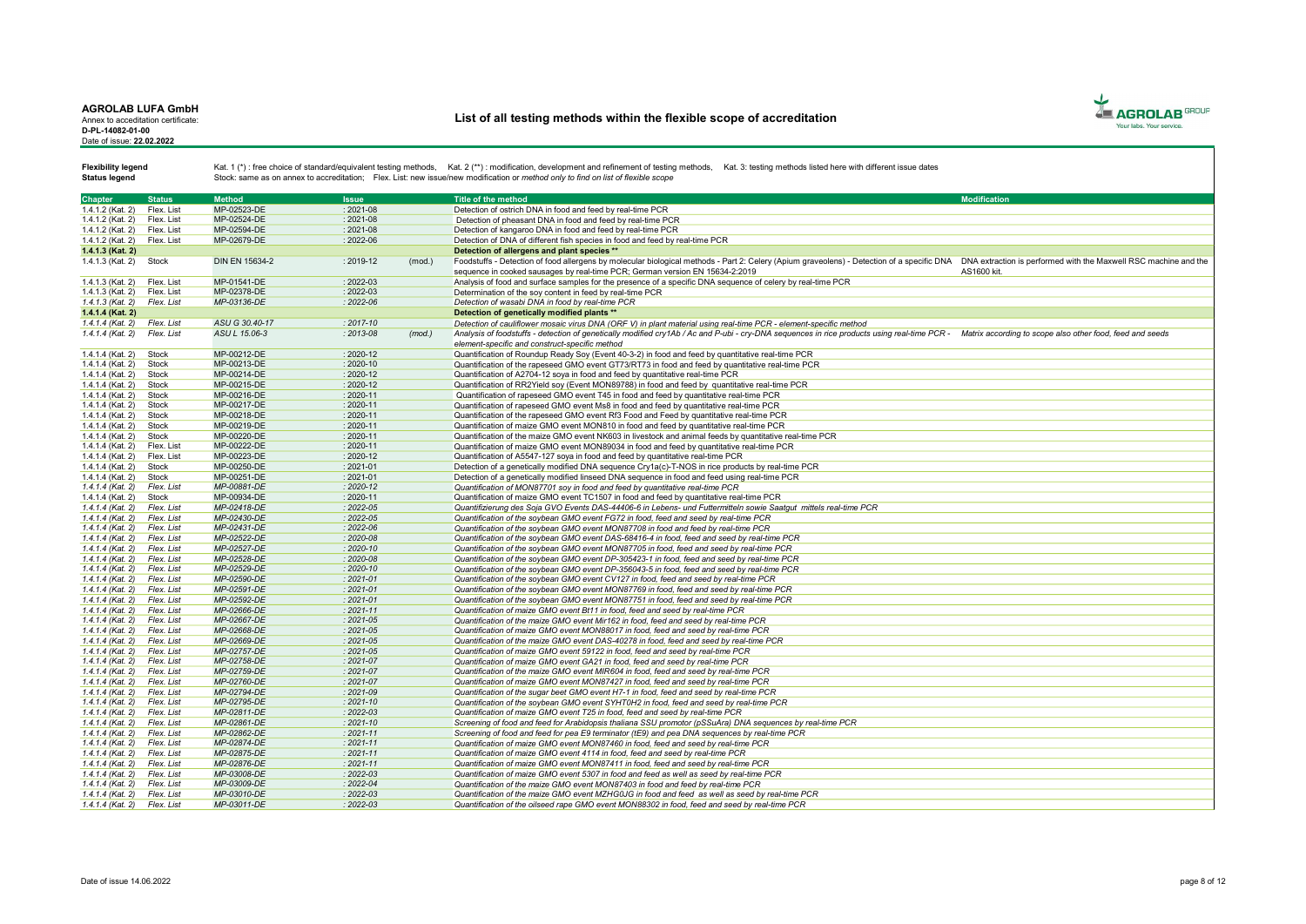Annex to acceditation certificate: D-PL-14082-01-00 Date of issue: 22.02.2022

# List of all testing methods within the flexible scope of accreditation



Status legend

| <b>Chapter</b>              | <b>Status</b> | <b>Method</b>         | <b>Issue</b>  |        | Title of the method                                                                                                                                                                                         | <b>Modification</b> |
|-----------------------------|---------------|-----------------------|---------------|--------|-------------------------------------------------------------------------------------------------------------------------------------------------------------------------------------------------------------|---------------------|
| 1.4.1.2 (Kat. 2)            | Flex, List    | MP-02523-DE           | $: 2021 - 08$ |        | Detection of ostrich DNA in food and feed by real-time PCR                                                                                                                                                  |                     |
| 1.4.1.2 (Kat. 2)            | Flex, List    | MP-02524-DE           | $: 2021 - 08$ |        | Detection of pheasant DNA in food and feed by real-time PCR                                                                                                                                                 |                     |
| 1.4.1.2 (Kat. 2)            | Flex, List    | MP-02594-DE           | $: 2021 - 08$ |        | Detection of kangaroo DNA in food and feed by real-time PCR                                                                                                                                                 |                     |
| 1.4.1.2 (Kat. 2)            | Flex. List    | MP-02679-DE           | : 2022-06     |        | Detection of DNA of different fish species in food and feed by real-time PCR                                                                                                                                |                     |
| 1.4.1.3 (Kat. 2)            |               |                       |               |        | Detection of allergens and plant species **                                                                                                                                                                 |                     |
|                             |               |                       |               |        |                                                                                                                                                                                                             |                     |
| 1.4.1.3 (Kat. 2)            | Stock         | <b>DIN EN 15634-2</b> | $: 2019 - 12$ | (mod.) | Foodstuffs - Detection of food allergens by molecular biological methods - Part 2: Celery (Apium graveolens) - Detection of a specific DNA DNA extraction is performed with the Maxwell RSC machine and the |                     |
|                             |               |                       |               |        | sequence in cooked sausages by real-time PCR; German version EN 15634-2:2019                                                                                                                                | AS1600 kit.         |
| 1.4.1.3 (Kat. 2)            | Flex. List    | MP-01541-DE           | : 2022-03     |        | Analysis of food and surface samples for the presence of a specific DNA sequence of celery by real-time PCR                                                                                                 |                     |
| 1.4.1.3 (Kat. 2)            | Flex, List    | MP-02378-DE           | $: 2022 - 03$ |        | Determination of the sov content in feed by real-time PCR                                                                                                                                                   |                     |
| $1.4.1.3$ (Kat. 2)          | Flex, List    | MP-03136-DE           | $: 2022 - 06$ |        | Detection of wasabi DNA in food by real-time PCR                                                                                                                                                            |                     |
| 1.4.1.4 (Kat. 2)            |               |                       |               |        | Detection of genetically modified plants **                                                                                                                                                                 |                     |
| $1.4.1.4$ (Kat. 2)          | Flex. List    | ASU G 30.40-17        | $: 2017 - 10$ |        | Detection of cauliflower mosaic virus DNA (ORF V) in plant material using real-time PCR - element-specific method                                                                                           |                     |
| $1.4.1.4$ (Kat. 2)          | Flex. List    | ASU L 15.06-3         | $: 2013 - 08$ | (mod.) | Analysis of foodstuffs - detection of genetically modified cry1Ab / Ac and P-ubi - cry-DNA sequences in rice products using real-time PCR - Matrix according to scope also other food, feed and seeds       |                     |
|                             |               |                       |               |        | element-specific and construct-specific method                                                                                                                                                              |                     |
| 1.4.1.4 (Kat. 2)            | Stock         | MP-00212-DE           | $: 2020 - 12$ |        | Quantification of Roundup Ready Sov (Event 40-3-2) in food and feed by quantitative real-time PCR                                                                                                           |                     |
| 1.4.1.4 (Kat. 2)            | Stock         | MP-00213-DE           | $: 2020 - 10$ |        | Quantification of the rapeseed GMO event GT73/RT73 in food and feed by quantitative real-time PCR                                                                                                           |                     |
| 1.4.1.4 (Kat. 2)            | Stock         | MP-00214-DE           | $: 2020 - 12$ |        | Quantification of A2704-12 soya in food and feed by quantitative real-time PCR                                                                                                                              |                     |
| 1.4.1.4 (Kat. 2)            | Stock         | MP-00215-DE           | $: 2020 - 12$ |        | Quantification of RR2Yield soy (Event MON89788) in food and feed by quantitative real-time PCR                                                                                                              |                     |
| 1.4.1.4 (Kat. 2)            | Stock         | MP-00216-DE           | $: 2020 - 11$ |        | Quantification of rapeseed GMO event T45 in food and feed by quantitative real-time PCR                                                                                                                     |                     |
| 1.4.1.4 (Kat. 2)            | Stock         | MP-00217-DE           | $: 2020 - 11$ |        | Quantification of rapeseed GMO event Ms8 in food and feed by quantitative real-time PCR                                                                                                                     |                     |
|                             |               |                       |               |        |                                                                                                                                                                                                             |                     |
| 1.4.1.4 (Kat. 2)            | Stock         | MP-00218-DE           | : 2020-11     |        | Quantification of the rapeseed GMO event Rf3 Food and Feed by quantitative real-time PCR                                                                                                                    |                     |
| 1.4.1.4 (Kat. 2)            | Stock         | MP-00219-DE           | $: 2020 - 11$ |        | Quantification of maize GMO event MON810 in food and feed by quantitative real-time PCR                                                                                                                     |                     |
| 1.4.1.4 (Kat. 2)            | Stock         | MP-00220-DE           | $: 2020 - 11$ |        | Quantification of the maize GMO event NK603 in livestock and animal feeds by quantitative real-time PCR                                                                                                     |                     |
| 1.4.1.4 (Kat. 2)            | Flex. List    | MP-00222-DE           | $: 2020 - 11$ |        | Quantification of maize GMO event MON89034 in food and feed by quantitative real-time PCR                                                                                                                   |                     |
| 1.4.1.4 (Kat. 2)            | Flex. List    | MP-00223-DE           | $: 2020 - 12$ |        | Quantification of A5547-127 soya in food and feed by quantitative real-time PCR                                                                                                                             |                     |
| 1.4.1.4 (Kat. 2)            | Stock         | MP-00250-DE           | $: 2021 - 01$ |        | Detection of a genetically modified DNA sequence Cry1a(c)-T-NOS in rice products by real-time PCR                                                                                                           |                     |
| 1.4.1.4 (Kat. 2)            | Stock         | MP-00251-DE           | $: 2021 - 01$ |        | Detection of a genetically modified linseed DNA sequence in food and feed using real-time PCR                                                                                                               |                     |
| $1.4.1.4$ (Kat. 2)          | Flex. List    | MP-00881-DE           | $: 2020 - 12$ |        | Quantification of MON87701 soy in food and feed by quantitative real-time PCR                                                                                                                               |                     |
| 1.4.1.4 (Kat. 2)            | Stock         | MP-00934-DE           | : 2020-11     |        | Quantification of maize GMO event TC1507 in food and feed by quantitative real-time PCR                                                                                                                     |                     |
| $1.4.1.4$ (Kat. 2)          | Flex. List    | MP-02418-DE           | $: 2022 - 05$ |        | Quantifizierung des Soja GVO Events DAS-44406-6 in Lebens- und Futtermitteln sowie Saatgut mittels real-time PCR                                                                                            |                     |
| 1.4.1.4 (Kat. 2) Flex. List |               | MP-02430-DE           | $: 2022 - 05$ |        | Quantification of the sovbean GMO event FG72 in food, feed and seed by real-time PCR                                                                                                                        |                     |
| $1.4.1.4$ (Kat. 2)          | Flex. List    | MP-02431-DE           | $: 2022 - 06$ |        | Quantification of the sovbean GMO event MON87708 in food and feed by real-time PCR                                                                                                                          |                     |
| $1.4.1.4$ (Kat. 2)          | Flex. List    | MP-02522-DE           | $: 2020 - 08$ |        | Quantification of the sovbean GMO event DAS-68416-4 in food, feed and seed by real-time PCR                                                                                                                 |                     |
| $1.4.1.4$ (Kat. 2)          | Flex, List    | MP-02527-DE           | $: 2020 - 10$ |        | Quantification of the sovbean GMO event MON87705 in food, feed and seed by real-time PCR                                                                                                                    |                     |
| 1.4.1.4 (Kat. 2) Flex. List |               | MP-02528-DE           | $: 2020 - 08$ |        | Quantification of the soybean GMO event DP-305423-1 in food, feed and seed by real-time PCR                                                                                                                 |                     |
| $1.4.1.4$ (Kat. 2)          | Flex, List    | MP-02529-DE           | $: 2020 - 10$ |        | Quantification of the sovbean GMO event DP-356043-5 in food, feed and seed by real-time PCR                                                                                                                 |                     |
| $1.4.1.4$ (Kat. 2)          | Flex, List    | MP-02590-DE           | $: 2021 - 01$ |        | Quantification of the sovbean GMO event CV127 in food, feed and seed by real-time PCR                                                                                                                       |                     |
| $1.4.1.4$ (Kat. 2)          | Flex. List    | MP-02591-DE           | $: 2021 - 01$ |        | Quantification of the sovbean GMO event MON87769 in food, feed and seed by real-time PCR                                                                                                                    |                     |
|                             |               | MP-02592-DE           | $: 2021 - 01$ |        |                                                                                                                                                                                                             |                     |
| 1.4.1.4 (Kat. 2)            | Flex. List    |                       |               |        | Quantification of the soybean GMO event MON87751 in food, feed and seed by real-time PCR                                                                                                                    |                     |
| $1.4.1.4$ (Kat. 2)          | Flex, List    | MP-02666-DE           | $: 2021 - 11$ |        | Quantification of maize GMO event Bt11 in food, feed and seed by real-time PCR                                                                                                                              |                     |
| $1.4.1.4$ (Kat. 2)          | Flex. List    | MP-02667-DE           | $: 2021 - 05$ |        | Quantification of the maize GMO event Mir162 in food, feed and seed by real-time PCR                                                                                                                        |                     |
| $1.4.1.4$ (Kat. 2)          | Flex. List    | MP-02668-DE           | $: 2021 - 05$ |        | Quantification of maize GMO event MON88017 in food, feed and seed by real-time PCR                                                                                                                          |                     |
| 1.4.1.4 (Kat. 2)            | Flex, List    | MP-02669-DE           | $: 2021 - 05$ |        | Quantification of the maize GMO event DAS-40278 in food, feed and seed by real-time PCR                                                                                                                     |                     |
| $1.4.1.4$ (Kat. 2)          | Flex. List    | MP-02757-DE           | $: 2021 - 05$ |        | Quantification of maize GMO event 59122 in food, feed and seed by real-time PCR                                                                                                                             |                     |
| $1.4.1.4$ (Kat. 2)          | Flex. List    | MP-02758-DE           | $: 2021 - 07$ |        | Quantification of maize GMO event GA21 in food, feed and seed by real-time PCR                                                                                                                              |                     |
| $1.4.1.4$ (Kat. 2)          | Flex. List    | MP-02759-DE           | $: 2021 - 07$ |        | Quantification of the maize GMO event MIR604 in food, feed and seed by real-time PCR                                                                                                                        |                     |
| $1.4.1.4$ (Kat. 2)          | Flex, List    | MP-02760-DE           | $: 2021 - 07$ |        | Quantification of maize GMO event MON87427 in food, feed and seed by real-time PCR                                                                                                                          |                     |
| 1.4.1.4 (Kat. 2)            | Flex, List    | MP-02794-DE           | $: 2021 - 09$ |        | Quantification of the sugar beet GMO event H7-1 in food, feed and seed by real-time PCR                                                                                                                     |                     |
| $1.4.1.4$ (Kat. 2)          | Flex. List    | MP-02795-DE           | $: 2021 - 10$ |        | Quantification of the sovbean GMO event SYHT0H2 in food, feed and seed by real-time PCR                                                                                                                     |                     |
| $1.4.1.4$ (Kat. 2)          | Flex. List    | MP-02811-DE           | $: 2022 - 03$ |        | Quantification of maize GMO event T25 in food, feed and seed by real-time PCR                                                                                                                               |                     |
| $1.4.1.4$ (Kat. 2)          | Flex. List    | MP-02861-DE           | $: 2021 - 10$ |        | Screening of food and feed for Arabidopsis thaliana SSU promotor (pSSuAra) DNA sequences by real-time PCR                                                                                                   |                     |
| $1.4.1.4$ (Kat. 2)          | Flex. List    | MP-02862-DE           | $: 2021 - 11$ |        | Screening of food and feed for pea E9 terminator (tE9) and pea DNA sequences by real-time PCR                                                                                                               |                     |
| $1.4.1.4$ (Kat. 2)          | Flex. List    | MP-02874-DE           | $: 2021 - 11$ |        | Quantification of maize GMO event MON87460 in food, feed and seed by real-time PCR                                                                                                                          |                     |
| $1.4.1.4$ (Kat. 2)          | Flex. List    | MP-02875-DE           | $: 2021 - 11$ |        | Quantification of maize GMO event 4114 in food, feed and seed by real-time PCR                                                                                                                              |                     |
| $1.4.1.4$ (Kat. 2)          | Flex, List    | MP-02876-DE           | $: 2021 - 11$ |        | Quantification of maize GMO event MON87411 in food, feed and seed by real-time PCR                                                                                                                          |                     |
|                             |               |                       | $: 2022 - 03$ |        |                                                                                                                                                                                                             |                     |
| $1.4.1.4$ (Kat. 2)          | Flex. List    | MP-03008-DE           |               |        | Quantification of maize GMO event 5307 in food and feed as well as seed by real-time PCR                                                                                                                    |                     |
| $1.4.1.4$ (Kat. 2)          | Flex. List    | MP-03009-DE           | $: 2022 - 04$ |        | Quantification of the maize GMO event MON87403 in food and feed by real-time PCR                                                                                                                            |                     |
| $1.4.1.4$ (Kat. 2)          | Flex, List    | MP-03010-DE           | $: 2022 - 03$ |        | Quantification of the maize GMO event MZHG0JG in food and feed as well as seed by real-time PCR                                                                                                             |                     |
| 1.4.1.4 (Kat. 2) Flex. List |               | MP-03011-DE           | 2022-03       |        | Quantification of the oilseed rape GMO event MON88302 in food, feed and seed by real-time PCR                                                                                                               |                     |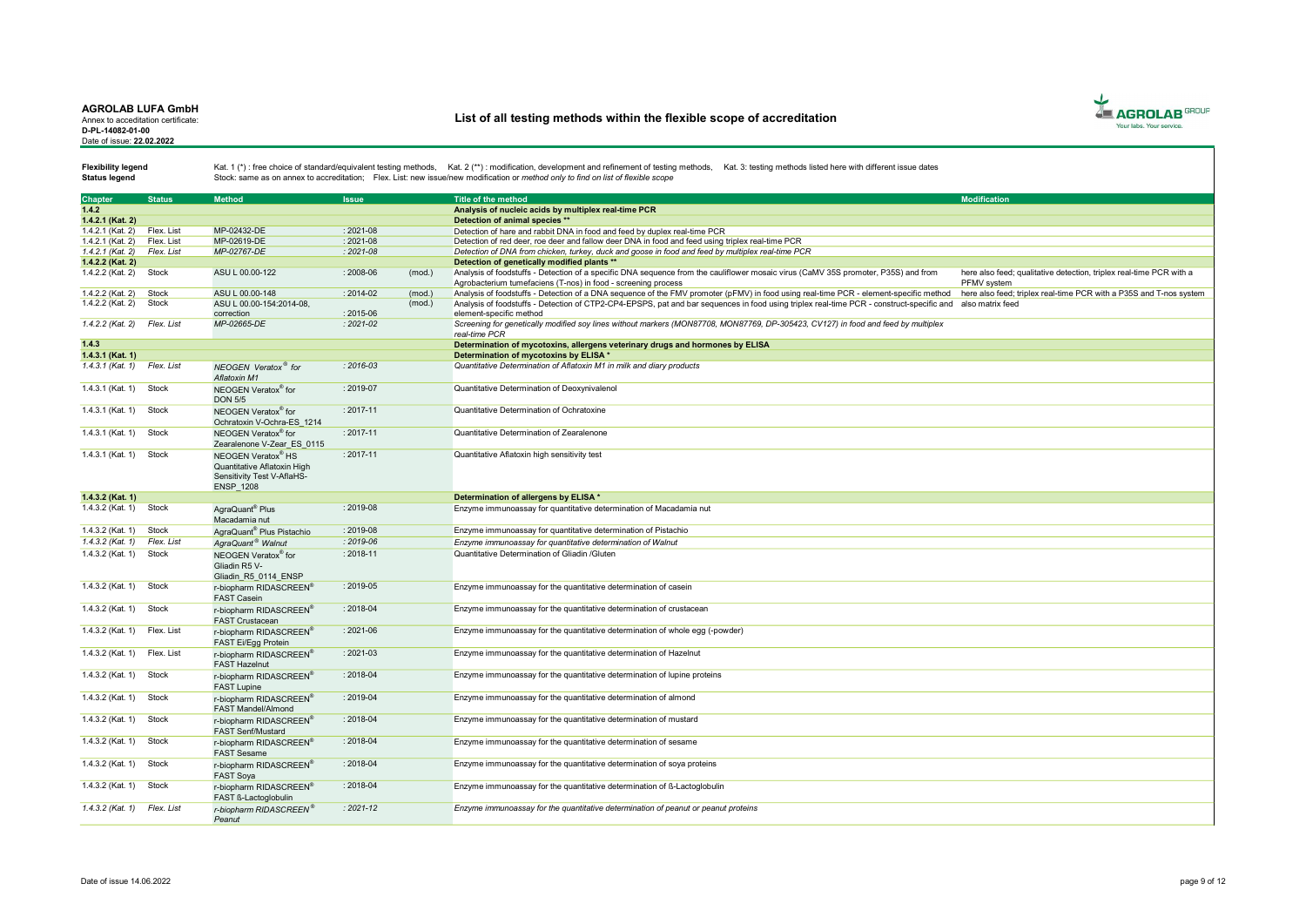Annex to acceditation certificate: D-PL-14082-01-00 Date of issue: 22.02.2022

# List of all testing methods within the flexible scope of accreditation



Status legend

| <b>Chapter</b>              | <b>Status</b> | <b>Method</b>                                                                                                   | <b>Issue</b>  |        | Title of the method                                                                                                                                                                                 | <b>Modification</b>                                                                |
|-----------------------------|---------------|-----------------------------------------------------------------------------------------------------------------|---------------|--------|-----------------------------------------------------------------------------------------------------------------------------------------------------------------------------------------------------|------------------------------------------------------------------------------------|
| 1.4.2                       |               |                                                                                                                 |               |        | Analysis of nucleic acids by multiplex real-time PCR                                                                                                                                                |                                                                                    |
| 1.4.2.1 (Kat. 2)            |               |                                                                                                                 |               |        | Detection of animal species **                                                                                                                                                                      |                                                                                    |
| 1.4.2.1 (Kat. 2)            | Flex, List    | MP-02432-DE                                                                                                     | $: 2021 - 08$ |        | Detection of hare and rabbit DNA in food and feed by duplex real-time PCR                                                                                                                           |                                                                                    |
| 1.4.2.1 (Kat. 2)            | Flex. List    | MP-02619-DE                                                                                                     | $: 2021 - 08$ |        | Detection of red deer, roe deer and fallow deer DNA in food and feed using triplex real-time PCR                                                                                                    |                                                                                    |
| 1.4.2.1 (Kat. 2)            | Flex. List    | MP-02767-DE                                                                                                     | $: 2021 - 08$ |        | Detection of DNA from chicken, turkey, duck and goose in food and feed by multiplex real-time PCR                                                                                                   |                                                                                    |
| 1.4.2.2 (Kat. 2)            |               |                                                                                                                 |               |        | Detection of genetically modified plants **                                                                                                                                                         |                                                                                    |
| 1.4.2.2 (Kat. 2)            | Stock         | ASU L 00.00-122                                                                                                 | $: 2008 - 06$ | (mod.) | Analysis of foodstuffs - Detection of a specific DNA sequence from the cauliflower mosaic virus (CaMV 35S promoter, P35S) and from<br>Agrobacterium tumefaciens (T-nos) in food - screening process | here also feed: qualitative detection, triplex real-time PCR with a<br>PFMV system |
| 1.4.2.2 (Kat. 2)            | Stock         | ASU L 00.00-148                                                                                                 | $: 2014 - 02$ | (mod.] | Analysis of foodstuffs - Detection of a DNA sequence of the FMV promoter (pFMV) in food using real-time PCR - element-specific method                                                               | here also feed: triplex real-time PCR with a P35S and T-nos system                 |
| 1.4.2.2 (Kat. 2)            | Stock         | ASU L 00.00-154:2014-08.<br>correction                                                                          | $: 2015 - 06$ | (mod.) | Analysis of foodstuffs - Detection of CTP2-CP4-EPSPS, pat and bar sequences in food using triplex real-time PCR - construct-specific and also matrix feed<br>element-specific method                |                                                                                    |
| 1.4.2.2 (Kat. 2) Flex. List |               | MP-02665-DE                                                                                                     | $: 2021 - 02$ |        | Screening for genetically modified soy lines without markers (MON87708, MON87769, DP-305423, CV127) in food and feed by multiplex                                                                   |                                                                                    |
|                             |               |                                                                                                                 |               |        | real-time PCR                                                                                                                                                                                       |                                                                                    |
| 1.4.3                       |               |                                                                                                                 |               |        | Determination of mycotoxins, allergens veterinary drugs and hormones by ELISA                                                                                                                       |                                                                                    |
| 1.4.3.1 (Kat. 1)            |               |                                                                                                                 |               |        | Determination of mycotoxins by ELISA *                                                                                                                                                              |                                                                                    |
| 1.4.3.1 (Kat. 1)            | Flex. List    | NEOGEN Veratox <sup>®</sup> for<br>Aflatoxin M1                                                                 | $: 2016 - 03$ |        | Quantitative Determination of Aflatoxin M1 in milk and diary products                                                                                                                               |                                                                                    |
| 1.4.3.1 (Kat. 1)            | Stock         | NEOGEN Veratox® for<br><b>DON 5/5</b>                                                                           | $: 2019 - 07$ |        | Quantitative Determination of Deoxynivalenol                                                                                                                                                        |                                                                                    |
| 1.4.3.1 (Kat. 1)            | Stock         | NEOGEN Veratox® for<br>Ochratoxin V-Ochra-ES 1214                                                               | $: 2017 - 11$ |        | Quantitative Determination of Ochratoxine                                                                                                                                                           |                                                                                    |
| 1.4.3.1 (Kat. 1)            | Stock         | NEOGEN Veratox® for<br>Zearalenone V-Zear ES 0115                                                               | $: 2017 - 11$ |        | Quantitative Determination of Zearalenone                                                                                                                                                           |                                                                                    |
| 1.4.3.1 (Kat. 1)            | Stock         | NEOGEN Veratox <sup>®</sup> HS<br>Quantitative Aflatoxin High<br>Sensitivity Test V-AflaHS-<br><b>ENSP 1208</b> | $: 2017 - 11$ |        | Quantitative Aflatoxin high sensitivity test                                                                                                                                                        |                                                                                    |
| 1.4.3.2 (Kat. 1)            |               |                                                                                                                 |               |        | Determination of allergens by ELISA *                                                                                                                                                               |                                                                                    |
| 1.4.3.2 (Kat. 1) Stock      |               | AgraQuant <sup>®</sup> Plus<br>Macadamia nut                                                                    | $: 2019 - 08$ |        | Enzyme immunoassay for quantitative determination of Macadamia nut                                                                                                                                  |                                                                                    |
| 1.4.3.2 (Kat. 1)            | Stock         | AgraQuant <sup>®</sup> Plus Pistachio                                                                           | $: 2019 - 08$ |        | Enzyme immunoassay for quantitative determination of Pistachio                                                                                                                                      |                                                                                    |
| 1.4.3.2 (Kat. 1)            | Flex. List    | AgraQuant <sup>®</sup> Walnut                                                                                   | $: 2019 - 06$ |        | Enzyme immunoassay for quantitative determination of Walnut                                                                                                                                         |                                                                                    |
| 1.4.3.2 (Kat. 1)            | Stock         |                                                                                                                 | $: 2018 - 11$ |        | Quantitative Determination of Gliadin /Gluten                                                                                                                                                       |                                                                                    |
|                             |               | NEOGEN Veratox® for<br>Gliadin R5 V-<br>Gliadin R5 0114 ENSP                                                    |               |        |                                                                                                                                                                                                     |                                                                                    |
| 1.4.3.2 (Kat. 1)            | Stock         | r-biopharm RIDASCREEN®<br><b>FAST Casein</b>                                                                    | $: 2019 - 05$ |        | Enzyme immunoassay for the quantitative determination of casein                                                                                                                                     |                                                                                    |
| 1.4.3.2 (Kat. 1)            | Stock         | r-biopharm RIDASCREEN®<br><b>FAST Crustacean</b>                                                                | $: 2018 - 04$ |        | Enzyme immunoassay for the quantitative determination of crustacean                                                                                                                                 |                                                                                    |
| 1.4.3.2 (Kat. 1)            | Flex. List    | r-biopharm RIDASCREEN®<br>FAST Ei/Egg Protein                                                                   | $: 2021 - 06$ |        | Enzyme immunoassay for the quantitative determination of whole egg (-powder)                                                                                                                        |                                                                                    |
| 1.4.3.2 (Kat. 1) Flex. List |               | r-biopharm RIDASCREEN®<br><b>FAST Hazelnut</b>                                                                  | $: 2021 - 03$ |        | Enzyme immunoassay for the quantitative determination of Hazelnut                                                                                                                                   |                                                                                    |
| 1.4.3.2 (Kat. 1)            | Stock         | r-biopharm RIDASCREEN®<br><b>FAST Lupine</b>                                                                    | $: 2018 - 04$ |        | Enzyme immunoassay for the quantitative determination of lupine proteins                                                                                                                            |                                                                                    |
| 1.4.3.2 (Kat. 1)            | Stock         | r-biopharm RIDASCREEN®<br>FAST Mandel/Almond                                                                    | $: 2019 - 04$ |        | Enzyme immunoassay for the quantitative determination of almond                                                                                                                                     |                                                                                    |
| 1.4.3.2 (Kat. 1)            | Stock         | r-biopharm RIDASCREEN®<br><b>FAST Senf/Mustard</b>                                                              | $: 2018 - 04$ |        | Enzyme immunoassay for the quantitative determination of mustard                                                                                                                                    |                                                                                    |
| 1.4.3.2 (Kat. 1)            | Stock         | r-biopharm RIDASCREEN®<br><b>FAST Sesame</b>                                                                    | $: 2018 - 04$ |        | Enzyme immunoassay for the quantitative determination of sesame                                                                                                                                     |                                                                                    |
| 1.4.3.2 (Kat. 1)            | Stock         | r-biopharm RIDASCREEN®<br><b>FAST Soya</b>                                                                      | $: 2018 - 04$ |        | Enzyme immunoassay for the quantitative determination of soya proteins                                                                                                                              |                                                                                    |
| 1.4.3.2 (Kat. 1)            | Stock         | r-biopharm RIDASCREEN®<br>FAST ß-Lactoglobulin                                                                  | $: 2018 - 04$ |        | Enzyme immunoassay for the quantitative determination of ß-Lactoglobulin                                                                                                                            |                                                                                    |
| 1.4.3.2 (Kat. 1) Flex. List |               | r-biopharm RIDASCREEN®<br>Peanut                                                                                | $: 2021 - 12$ |        | Enzyme immunoassay for the quantitative determination of peanut or peanut proteins                                                                                                                  |                                                                                    |
|                             |               |                                                                                                                 |               |        |                                                                                                                                                                                                     |                                                                                    |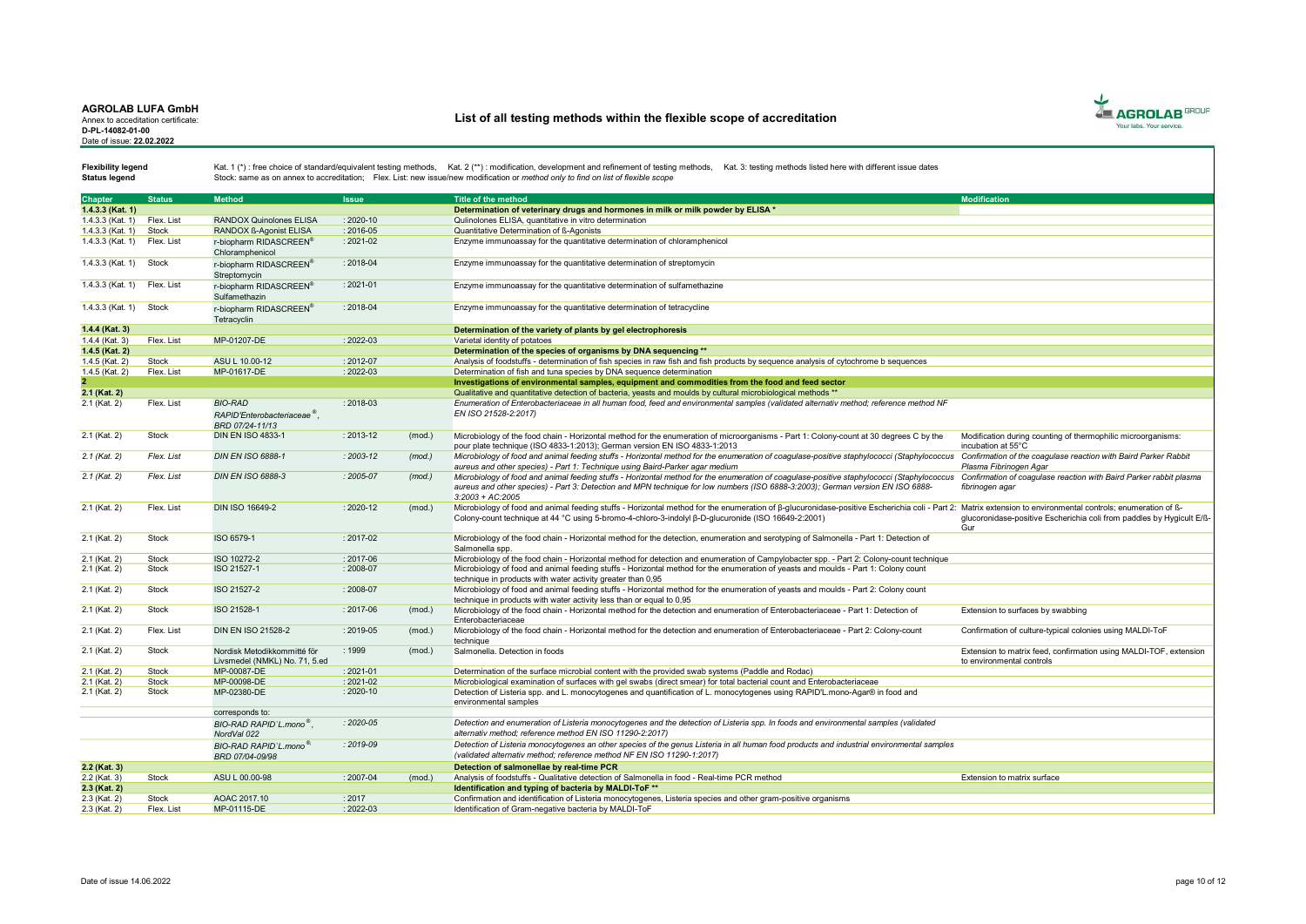Annex to acceditation certificate: D-PL-14082-01-00 Date of issue: 22.02.2022

# List of all testing methods within the flexible scope of accreditation



Status legend

| <b>Chapter</b>     | <b>Status</b> | <b>Method</b>                           | <b>Issue</b>  |        | <b>Title of the method</b>                                                                                                                           | <b>Modification</b>                                                   |
|--------------------|---------------|-----------------------------------------|---------------|--------|------------------------------------------------------------------------------------------------------------------------------------------------------|-----------------------------------------------------------------------|
| 1.4.3.3 (Kat. 1)   |               |                                         |               |        | Determination of veterinary drugs and hormones in milk or milk powder by ELISA *                                                                     |                                                                       |
| $1.4.3.3$ (Kat. 1) | Flex, List    | <b>RANDOX Quinolones ELISA</b>          | $: 2020 - 10$ |        | Qulinolones ELISA, quantitative in vitro determination                                                                                               |                                                                       |
| 1.4.3.3 (Kat. 1)   | Stock         | RANDOX ß-Agonist ELISA                  | $: 2016 - 05$ |        | Quantitative Determination of ß-Agonists                                                                                                             |                                                                       |
| 1.4.3.3 (Kat. 1)   | Flex. List    | r-biopharm RIDASCREEN®                  | $: 2021 - 02$ |        | Enzyme immunoassay for the quantitative determination of chloramphenicol                                                                             |                                                                       |
|                    |               | Chloramphenicol                         |               |        |                                                                                                                                                      |                                                                       |
| 1.4.3.3 (Kat. 1)   | Stock         | r-biopharm RIDASCREEN®                  | : 2018-04     |        | Enzyme immunoassay for the quantitative determination of streptomycin                                                                                |                                                                       |
|                    |               | Streptomycin                            |               |        |                                                                                                                                                      |                                                                       |
| 1.4.3.3 (Kat. 1)   | Flex. List    | r-biopharm RIDASCREEN®                  | $: 2021 - 01$ |        | Enzyme immunoassay for the quantitative determination of sulfamethazine                                                                              |                                                                       |
|                    |               | Sulfamethazin                           |               |        |                                                                                                                                                      |                                                                       |
| 1.4.3.3 (Kat. 1)   | Stock         | r-biopharm RIDASCREEN®                  | $: 2018 - 04$ |        | Enzyme immunoassay for the quantitative determination of tetracycline                                                                                |                                                                       |
|                    |               | Tetracyclin                             |               |        |                                                                                                                                                      |                                                                       |
| $1.4.4$ (Kat. 3)   |               |                                         |               |        | Determination of the variety of plants by gel electrophoresis                                                                                        |                                                                       |
| 1.4.4 (Kat. 3)     | Flex. List    | MP-01207-DE                             | $: 2022 - 03$ |        | Varietal identity of potatoes                                                                                                                        |                                                                       |
| 1.4.5 (Kat. 2)     |               |                                         |               |        | Determination of the species of organisms by DNA sequencing **                                                                                       |                                                                       |
| 1.4.5 (Kat. 2)     | Stock         | ASU L 10.00-12                          | $: 2012 - 07$ |        | Analysis of foodstuffs - determination of fish species in raw fish and fish products by sequence analysis of cytochrome b sequences                  |                                                                       |
| 1.4.5 (Kat. 2)     | Flex. List    | MP-01617-DE                             | $: 2022 - 03$ |        | Determination of fish and tuna species by DNA sequence determination                                                                                 |                                                                       |
|                    |               |                                         |               |        | Investigations of environmental samples, equipment and commodities from the food and feed sector                                                     |                                                                       |
| 2.1 (Kat. 2)       |               |                                         |               |        | Qualitative and quantitative detection of bacteria, yeasts and moulds by cultural microbiological methods **                                         |                                                                       |
| 2.1 (Kat. 2)       | Flex. List    | <b>BIO-RAD</b>                          | $: 2018 - 03$ |        | Enumeration of Enterobacteriaceae in all human food, feed and environmental samples (validated alternativ method; reference method NF                |                                                                       |
|                    |               | RAPID'Enterobacteriaceae <sup>®</sup> . |               |        | EN ISO 21528-2:2017)                                                                                                                                 |                                                                       |
|                    |               | BRD 07/24-11/13                         |               |        |                                                                                                                                                      |                                                                       |
| 2.1 (Kat. 2)       | Stock         | <b>DIN EN ISO 4833-1</b>                | $: 2013 - 12$ | (mod.) | Microbiology of the food chain - Horizontal method for the enumeration of microorganisms - Part 1: Colony-count at 30 degrees C by the               | Modification during counting of thermophilic microorganisms:          |
|                    |               |                                         |               |        | pour plate technique (ISO 4833-1:2013); German version EN ISO 4833-1:2013                                                                            | incubation at 55°C                                                    |
| $2.1$ (Kat. 2)     | Flex. List    | <b>DIN EN ISO 6888-1</b>                | $: 2003 - 12$ | (mod.) | Microbiology of food and animal feeding stuffs - Horizontal method for the enumeration of coagulase-positive staphylococci (Staphylococcus           | Confirmation of the coagulase reaction with Baird Parker Rabbit       |
|                    |               |                                         |               |        | aureus and other species) - Part 1: Technique using Baird-Parker agar medium                                                                         | Plasma Fibrinogen Agar                                                |
| $2.1$ (Kat. 2)     | Flex. List    | <b>DIN EN ISO 6888-3</b>                | : 2005-07     | (mod.) | Microbiology of food and animal feeding stuffs - Horizontal method for the enumeration of coagulase-positive staphylococci (Staphylococcus           | Confirmation of coagulase reaction with Baird Parker rabbit plasma    |
|                    |               |                                         |               |        | aureus and other species) - Part 3: Detection and MPN technique for low numbers (ISO 6888-3:2003); German version EN ISO 6888-<br>$3:2003 + AC:2005$ | fibrinogen agar                                                       |
| 2.1 (Kat. 2)       | Flex. List    | <b>DIN ISO 16649-2</b>                  | $: 2020 - 12$ | (mod.) | Microbiology of food and animal feeding stuffs - Horizontal method for the enumeration of B-glucuronidase-positive Escherichia coli - Part 2:        | Matrix extension to environmental controls: enumeration of B-         |
|                    |               |                                         |               |        | Colony-count technique at 44 °C using 5-bromo-4-chloro-3-indolyl B-D-glucuronide (ISO 16649-2:2001)                                                  | glucoronidase-positive Escherichia coli from paddles by Hygicult E/ß- |
|                    |               |                                         |               |        |                                                                                                                                                      | Gur                                                                   |
| 2.1 (Kat. 2)       | Stock         | ISO 6579-1                              | $: 2017 - 02$ |        | Microbiology of the food chain - Horizontal method for the detection, enumeration and serotyping of Salmonella - Part 1: Detection of                |                                                                       |
|                    |               |                                         |               |        | Salmonella spp.                                                                                                                                      |                                                                       |
| 2.1 (Kat. 2)       | Stock         | ISO 10272-2                             | $: 2017 - 06$ |        | Microbiology of the food chain - Horizontal method for detection and enumeration of Campylobacter spp. - Part 2: Colony-count technique              |                                                                       |
| 2.1 (Kat. 2)       | Stock         | ISO 21527-1                             | : 2008-07     |        | Microbiology of food and animal feeding stuffs - Horizontal method for the enumeration of yeasts and moulds - Part 1: Colony count                   |                                                                       |
|                    |               |                                         |               |        | technique in products with water activity greater than 0,95                                                                                          |                                                                       |
| 2.1 (Kat. 2)       | Stock         | ISO 21527-2                             | $: 2008 - 07$ |        | Microbiology of food and animal feeding stuffs - Horizontal method for the enumeration of yeasts and moulds - Part 2: Colony count                   |                                                                       |
|                    |               |                                         |               |        | technique in products with water activity less than or equal to 0,95                                                                                 |                                                                       |
| 2.1 (Kat. 2)       | Stock         | ISO 21528-1                             | $: 2017 - 06$ | (mod.) | Microbiology of the food chain - Horizontal method for the detection and enumeration of Enterobacteriaceae - Part 1: Detection of                    | Extension to surfaces by swabbing                                     |
| 2.1 (Kat. 2)       | Flex. List    | <b>DIN EN ISO 21528-2</b>               | $: 2019 - 05$ |        | Enterobacteriaceae                                                                                                                                   |                                                                       |
|                    |               |                                         |               | (mod.) | Microbiology of the food chain - Horizontal method for the detection and enumeration of Enterobacteriaceae - Part 2: Colony-count<br>technique       | Confirmation of culture-typical colonies using MALDI-ToF              |
| 2.1 (Kat. 2)       | Stock         | Nordisk Metodikkommitté för             | :1999         | (mod.) | Salmonella, Detection in foods                                                                                                                       | Extension to matrix feed, confirmation using MALDI-TOF, extension     |
|                    |               | Livsmedel (NMKL) No. 71, 5.ed           |               |        |                                                                                                                                                      | to environmental controls                                             |
| 2.1 (Kat. 2)       | Stock         | MP-00087-DE                             | $: 2021 - 01$ |        | Determination of the surface microbial content with the provided swab systems (Paddle and Rodac)                                                     |                                                                       |
| 2.1 (Kat. 2)       | Stock         | MP-00098-DE                             | $: 2021 - 02$ |        | Microbiological examination of surfaces with gel swabs (direct smear) for total bacterial count and Enterobacteriaceae                               |                                                                       |
| 2.1 (Kat. 2)       | Stock         | MP-02380-DE                             | $: 2020 - 10$ |        | Detection of Listeria spp. and L. monocytogenes and quantification of L. monocytogenes using RAPID'L.mono-Agar® in food and                          |                                                                       |
|                    |               |                                         |               |        | environmental samples                                                                                                                                |                                                                       |
|                    |               | corresponds to:                         |               |        |                                                                                                                                                      |                                                                       |
|                    |               | BIO-RAD RAPID'L mono <sup>®</sup> .     | $: 2020 - 05$ |        | Detection and enumeration of Listeria monocytogenes and the detection of Listeria spp. In foods and environmental samples (validated                 |                                                                       |
|                    |               | NordVal 022                             |               |        | alternativ method; reference method EN ISO 11290-2:2017)                                                                                             |                                                                       |
|                    |               | BIO-RAD RAPID'L.mono <sup>®</sup>       | $: 2019 - 09$ |        | Detection of Listeria monocytogenes an other species of the genus Listeria in all human food products and industrial environmental samples           |                                                                       |
|                    |               | BRD 07/04-09/98                         |               |        | (validated alternativ method; reference method NF EN ISO 11290-1:2017)                                                                               |                                                                       |
| 2.2 (Kat. 3)       |               |                                         |               |        | Detection of salmonellae by real-time PCR                                                                                                            |                                                                       |
| $2.2$ (Kat. 3)     | Stock         | ASU L 00.00-98                          | $: 2007 - 04$ | (mod.) | Analysis of foodstuffs - Qualitative detection of Salmonella in food - Real-time PCR method                                                          | Extension to matrix surface                                           |
| 2.3 (Kat. 2)       |               |                                         |               |        | Identification and typing of bacteria by MALDI-ToF **                                                                                                |                                                                       |
| 2.3 (Kat. 2)       | Stock         | AOAC 2017.10                            | : 2017        |        | Confirmation and identification of Listeria monocytogenes, Listeria species and other gram-positive organisms                                        |                                                                       |
| 2.3 (Kat. 2)       | Flex. List    | MP-01115-DE                             | 2022-03       |        | Identification of Gram-negative bacteria by MALDI-ToF                                                                                                |                                                                       |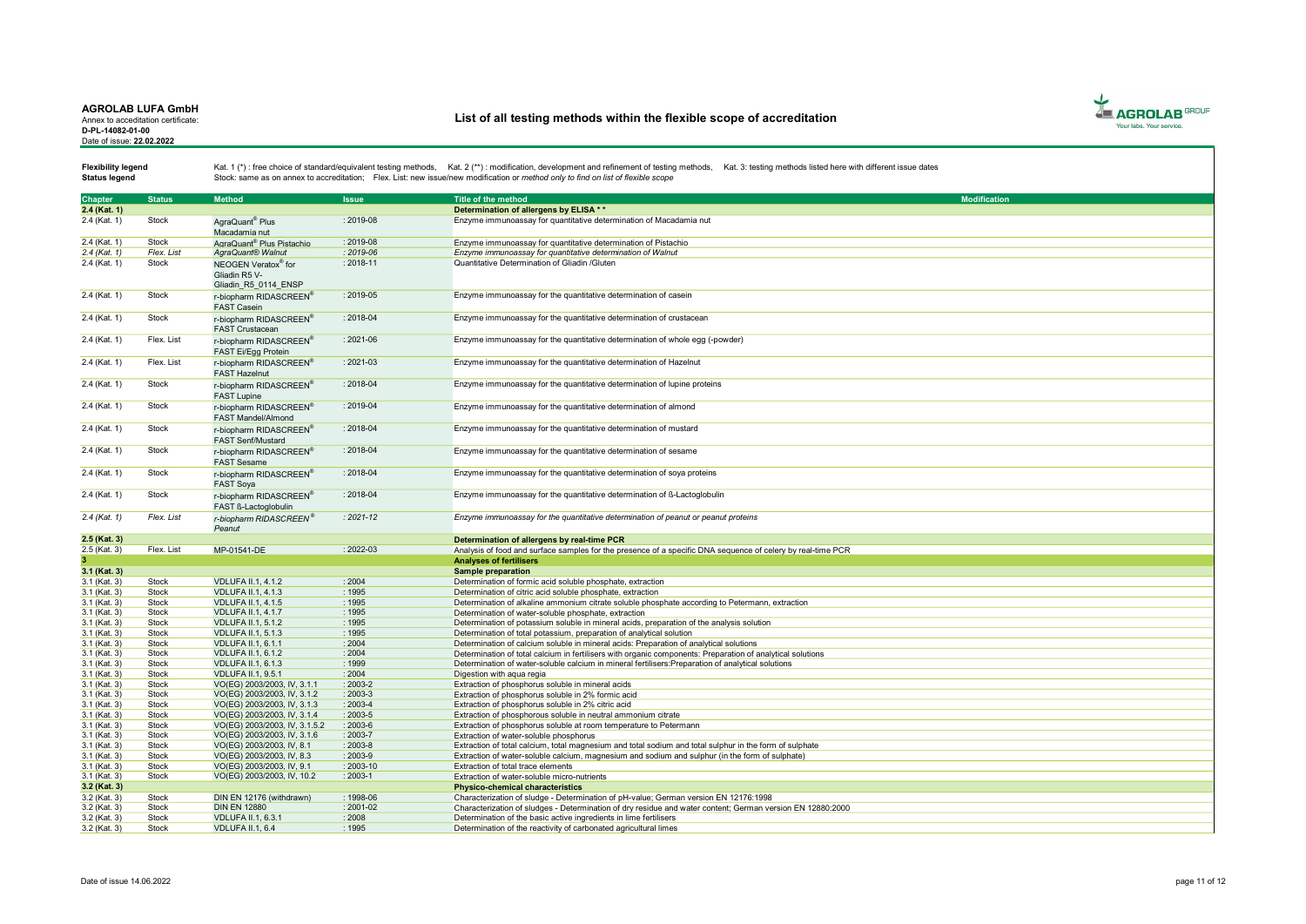Annex to acceditation certificate: D-PL-14082-01-00 Date of issue: 22.02.2022

# List of all testing methods within the flexible scope of accreditation



Status legend

| <b>Chapter</b>    | <b>Status</b> | <b>Method</b>                         | <b>Issue</b>  | <b>Title of the method</b>                                                                                  | <b>Modification</b> |
|-------------------|---------------|---------------------------------------|---------------|-------------------------------------------------------------------------------------------------------------|---------------------|
| 2.4 (Kat. 1)      |               |                                       |               | Determination of allergens by ELISA **                                                                      |                     |
| 2.4 (Kat. 1)      | Stock         | AgraQuant <sup>®</sup> Plus           | : 2019-08     | Enzyme immunoassay for quantitative determination of Macadamia nut                                          |                     |
|                   |               |                                       |               |                                                                                                             |                     |
|                   |               | Macadamia nut                         |               |                                                                                                             |                     |
| 2.4 (Kat. 1)      | Stock         | AgraQuant <sup>®</sup> Plus Pistachio | $: 2019 - 08$ | Enzyme immunoassay for quantitative determination of Pistachio                                              |                     |
| $2.4$ (Kat. 1)    | Flex. List    | AgraQuant® Walnut                     | $: 2019 - 06$ | Enzyme immunoassay for quantitative determination of Walnut                                                 |                     |
| 2.4 (Kat. 1)      | Stock         | NEOGEN Veratox® for                   | $: 2018 - 11$ | Quantitative Determination of Gliadin /Gluten                                                               |                     |
|                   |               | Gliadin R5 V-                         |               |                                                                                                             |                     |
|                   |               | Gliadin R5 0114 ENSP                  |               |                                                                                                             |                     |
| 2.4 (Kat. 1)      | Stock         | r-biopharm RIDASCREEN®                | $: 2019 - 05$ | Enzyme immunoassay for the quantitative determination of casein                                             |                     |
|                   |               | <b>FAST Casein</b>                    |               |                                                                                                             |                     |
| 2.4 (Kat. 1)      | <b>Stock</b>  | r-biopharm RIDASCREEN®                | : 2018-04     | Enzyme immunoassay for the quantitative determination of crustacean                                         |                     |
|                   |               | <b>FAST Crustacean</b>                |               |                                                                                                             |                     |
|                   | Flex. List    |                                       | $: 2021 - 06$ |                                                                                                             |                     |
| 2.4 (Kat. 1)      |               | r-biopharm RIDASCREEN®                |               | Enzyme immunoassay for the quantitative determination of whole egg (-powder)                                |                     |
|                   |               | FAST Ei/Egg Protein                   |               |                                                                                                             |                     |
| 2.4 (Kat. 1)      | Flex. List    | r-biopharm RIDASCREEN®                | $: 2021 - 03$ | Enzyme immunoassay for the quantitative determination of Hazelnut                                           |                     |
|                   |               | <b>FAST Hazelnut</b>                  |               |                                                                                                             |                     |
| 2.4 (Kat. 1)      | Stock         | r-biopharm RIDASCREEN®                | : 2018-04     | Enzyme immunoassay for the quantitative determination of lupine proteins                                    |                     |
|                   |               | <b>FAST Lupine</b>                    |               |                                                                                                             |                     |
| 2.4 (Kat. 1)      | <b>Stock</b>  | r-biopharm RIDASCREEN®                | $: 2019 - 04$ | Enzyme immunoassay for the quantitative determination of almond                                             |                     |
|                   |               | <b>FAST Mandel/Almond</b>             |               |                                                                                                             |                     |
| 2.4 (Kat. 1)      | Stock         |                                       | : 2018-04     |                                                                                                             |                     |
|                   |               | r-biopharm RIDASCREEN®                |               | Enzyme immunoassay for the quantitative determination of mustard                                            |                     |
|                   |               | <b>FAST Senf/Mustard</b>              |               |                                                                                                             |                     |
| 2.4 (Kat. 1)      | Stock         | r-biopharm RIDASCREEN®                | : 2018-04     | Enzyme immunoassay for the quantitative determination of sesame                                             |                     |
|                   |               | <b>FAST Sesame</b>                    |               |                                                                                                             |                     |
| 2.4 (Kat. 1)      | Stock         | r-biopharm RIDASCREEN®                | $: 2018 - 04$ | Enzyme immunoassay for the quantitative determination of soya proteins                                      |                     |
|                   |               | <b>FAST Soya</b>                      |               |                                                                                                             |                     |
| 2.4 (Kat. 1)      | <b>Stock</b>  | r-biopharm RIDASCREEN®                | $: 2018 - 04$ | Enzyme immunoassay for the quantitative determination of ß-Lactoglobulin                                    |                     |
|                   |               | FAST ß-Lactoglobulin                  |               |                                                                                                             |                     |
| $2.4$ (Kat. 1)    | Flex. List    | r-biopharm RIDASCREEN®                | $: 2021 - 12$ | Enzyme immunoassay for the quantitative determination of peanut or peanut proteins                          |                     |
|                   |               | Peanut                                |               |                                                                                                             |                     |
| 2.5 (Kat. 3)      |               |                                       |               | Determination of allergens by real-time PCR                                                                 |                     |
|                   |               |                                       |               |                                                                                                             |                     |
| 2.5 (Kat. 3)<br>з | Flex. List    | MP-01541-DE                           | : 2022-03     | Analysis of food and surface samples for the presence of a specific DNA sequence of celery by real-time PCR |                     |
|                   |               |                                       |               | <b>Analyses of fertilisers</b>                                                                              |                     |
| 3.1 (Kat. 3)      |               |                                       |               | <b>Sample preparation</b>                                                                                   |                     |
| 3.1 (Kat. 3)      | Stock         | <b>VDLUFA II.1, 4.1.2</b>             | : 2004        | Determination of formic acid soluble phosphate, extraction                                                  |                     |
| 3.1 (Kat. 3)      | Stock         | <b>VDLUFA II.1, 4.1.3</b>             | : 1995        | Determination of citric acid soluble phosphate, extraction                                                  |                     |
| 3.1 (Kat. 3)      | Stock         | <b>VDLUFA II.1, 4.1.5</b>             | : 1995        | Determination of alkaline ammonium citrate soluble phosphate according to Petermann, extraction             |                     |
| 3.1 (Kat. 3)      | Stock         | <b>VDLUFA II.1, 4.1.7</b>             | : 1995        | Determination of water-soluble phosphate, extraction                                                        |                     |
| 3.1 (Kat. 3)      | Stock         | <b>VDLUFA II.1, 5.1.2</b>             | : 1995        | Determination of potassium soluble in mineral acids, preparation of the analysis solution                   |                     |
| 3.1 (Kat. 3)      | Stock         | <b>VDLUFA II.1, 5.1.3</b>             | : 1995        | Determination of total potassium, preparation of analytical solution                                        |                     |
| 3.1 (Kat. 3)      | Stock         | <b>VDLUFA II.1, 6.1.1</b>             | 2004          | Determination of calcium soluble in mineral acids: Preparation of analytical solutions                      |                     |
| 3.1 (Kat. 3)      | Stock         | <b>VDLUFA II.1, 6.1.2</b>             | 2004          | Determination of total calcium in fertilisers with organic components: Preparation of analytical solutions  |                     |
| 3.1 (Kat. 3)      | Stock         | VDLUFA II.1, 6.1.3                    | : 1999        | Determination of water-soluble calcium in mineral fertilisers: Preparation of analytical solutions          |                     |
| 3.1 (Kat. 3)      | Stock         | <b>VDLUFA II.1, 9.5.1</b>             | : 2004        | Digestion with agua regia                                                                                   |                     |
| 3.1 (Kat. 3)      | Stock         | VO(EG) 2003/2003, IV, 3.1.1           | $: 2003 - 2$  | Extraction of phosphorus soluble in mineral acids                                                           |                     |
| 3.1 (Kat. 3)      | Stock         | VO(EG) 2003/2003, IV, 3.1.2           | $: 2003 - 3$  | Extraction of phosphorus soluble in 2% formic acid                                                          |                     |
| 3.1 (Kat. 3)      | Stock         | VO(EG) 2003/2003, IV, 3.1.3           | $: 2003 - 4$  | Extraction of phosphorus soluble in 2% citric acid                                                          |                     |
| 3.1 (Kat. 3)      | Stock         | VO(EG) 2003/2003, IV, 3.1.4           | : 2003-5      | Extraction of phosphorous soluble in neutral ammonium citrate                                               |                     |
| 3.1 (Kat. 3)      | Stock         | VO(EG) 2003/2003, IV, 3.1.5.2         | $: 2003 - 6$  | Extraction of phosphorus soluble at room temperature to Petermann                                           |                     |
| 3.1 (Kat. 3)      | Stock         | VO(EG) 2003/2003, IV, 3.1.6           | : 2003-7      | Extraction of water-soluble phosphorus                                                                      |                     |
| 3.1 (Kat. 3)      | Stock         | VO(EG) 2003/2003, IV, 8.1             | $: 2003 - 8$  | Extraction of total calcium, total magnesium and total sodium and total sulphur in the form of sulphate     |                     |
| 3.1 (Kat. 3)      | Stock         | VO(EG) 2003/2003, IV, 8.3             | 2003-9        | Extraction of water-soluble calcium, magnesium and sodium and sulphur (in the form of sulphate)             |                     |
| 3.1 (Kat. 3)      | Stock         | VO(EG) 2003/2003, IV, 9.1             | $: 2003 - 10$ | Extraction of total trace elements                                                                          |                     |
| 3.1 (Kat. 3)      | Stock         | VO(EG) 2003/2003, IV, 10.2            | $: 2003 - 1$  | Extraction of water-soluble micro-nutrients                                                                 |                     |
| 3.2 (Kat. 3)      |               |                                       |               | <b>Physico-chemical characteristics</b>                                                                     |                     |
| 3.2 (Kat. 3)      | Stock         | DIN EN 12176 (withdrawn)              | : 1998-06     | Characterization of sludge - Determination of pH-value; German version EN 12176:1998                        |                     |
| 3.2 (Kat. 3)      | Stock         | <b>DIN EN 12880</b>                   | 2001-02       | Characterization of sludges - Determination of dry residue and water content: German version EN 12880:2000  |                     |
| 3.2 (Kat. 3)      | Stock         | <b>VDLUFA II.1, 6.3.1</b>             | 2008          | Determination of the basic active ingredients in lime fertilisers                                           |                     |
| 3.2 (Kat. 3)      | Stock         | VDLUFA II.1, 6.4                      | : 1995        | Determination of the reactivity of carbonated agricultural limes                                            |                     |
|                   |               |                                       |               |                                                                                                             |                     |